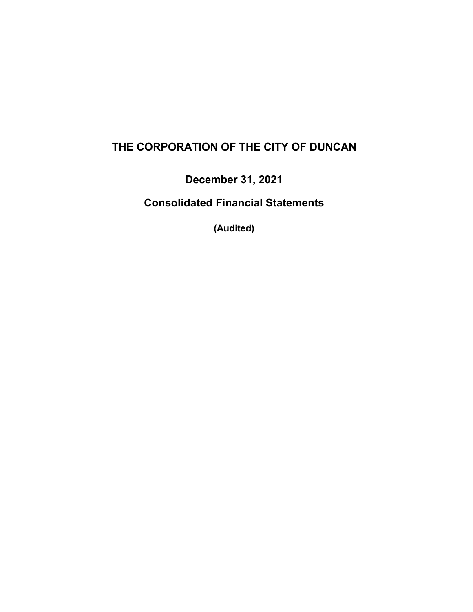# **THE CORPORATION OF THE CITY OF DUNCAN**

**December 31, 2021**

**Consolidated Financial Statements**

**(Audited)**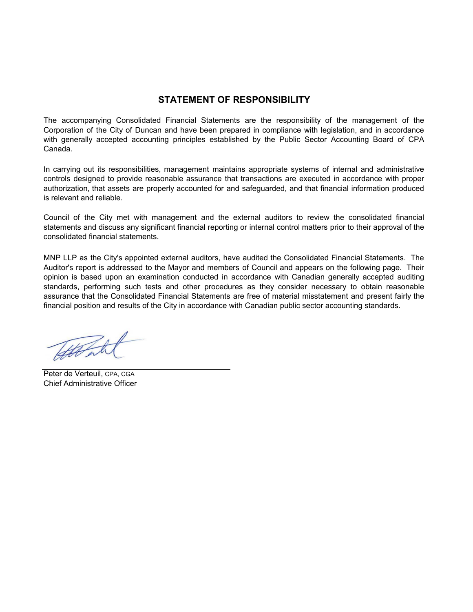### **STATEMENT OF RESPONSIBILITY**

The accompanying Consolidated Financial Statements are the responsibility of the management of the Corporation of the City of Duncan and have been prepared in compliance with legislation, and in accordance with generally accepted accounting principles established by the Public Sector Accounting Board of CPA Canada.

In carrying out its responsibilities, management maintains appropriate systems of internal and administrative controls designed to provide reasonable assurance that transactions are executed in accordance with proper authorization, that assets are properly accounted for and safeguarded, and that financial information produced is relevant and reliable.

Council of the City met with management and the external auditors to review the consolidated financial statements and discuss any significant financial reporting or internal control matters prior to their approval of the consolidated financial statements.

MNP LLP as the City's appointed external auditors, have audited the Consolidated Financial Statements. The Auditor's report is addressed to the Mayor and members of Council and appears on the following page. Their opinion is based upon an examination conducted in accordance with Canadian generally accepted auditing standards, performing such tests and other procedures as they consider necessary to obtain reasonable assurance that the Consolidated Financial Statements are free of material misstatement and present fairly the financial position and results of the City in accordance with Canadian public sector accounting standards.

Peter de Verteuil, CPA, CGA Chief Administrative Officer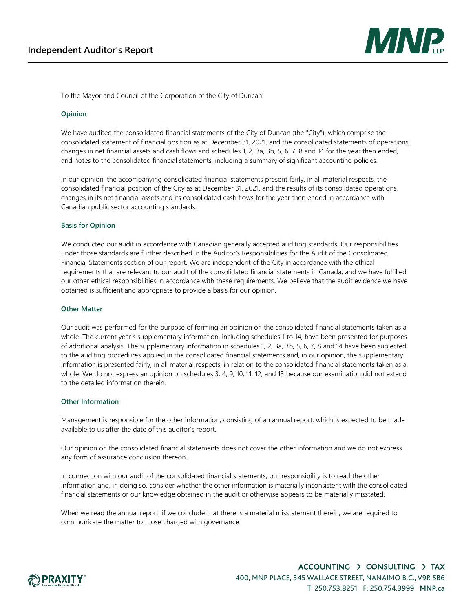

To the Mayor and Council of the Corporation of the City of Duncan:

### **Opinion**

We have audited the consolidated financial statements of the City of Duncan (the "City"), which comprise the consolidated statement of financial position as at December 31, 2021, and the consolidated statements of operations, changes in net financial assets and cash flows and schedules 1, 2, 3a, 3b, 5, 6, 7, 8 and 14 for the year then ended, and notes to the consolidated financial statements, including a summary of significant accounting policies.

In our opinion, the accompanying consolidated financial statements present fairly, in all material respects, the consolidated financial position of the City as at December 31, 2021, and the results of its consolidated operations, changes in its net financial assets and its consolidated cash flows for the year then ended in accordance with Canadian public sector accounting standards.

### **Basis for Opinion**

We conducted our audit in accordance with Canadian generally accepted auditing standards. Our responsibilities under those standards are further described in the Auditor's Responsibilities for the Audit of the Consolidated Financial Statements section of our report. We are independent of the City in accordance with the ethical requirements that are relevant to our audit of the consolidated financial statements in Canada, and we have fulfilled our other ethical responsibilities in accordance with these requirements. We believe that the audit evidence we have obtained is sufficient and appropriate to provide a basis for our opinion.

#### **Other Matter**

Our audit was performed for the purpose of forming an opinion on the consolidated financial statements taken as a whole. The current year's supplementary information, including schedules 1 to 14, have been presented for purposes of additional analysis. The supplementary information in schedules 1, 2, 3a, 3b, 5, 6, 7, 8 and 14 have been subjected to the auditing procedures applied in the consolidated financial statements and, in our opinion, the supplementary information is presented fairly, in all material respects, in relation to the consolidated financial statements taken as a whole. We do not express an opinion on schedules 3, 4, 9, 10, 11, 12, and 13 because our examination did not extend to the detailed information therein.

#### **Other Information**

Management is responsible for the other information, consisting of an annual report, which is expected to be made available to us after the date of this auditor's report.

Our opinion on the consolidated financial statements does not cover the other information and we do not express any form of assurance conclusion thereon.

In connection with our audit of the consolidated financial statements, our responsibility is to read the other information and, in doing so, consider whether the other information is materially inconsistent with the consolidated financial statements or our knowledge obtained in the audit or otherwise appears to be materially misstated.

When we read the annual report, if we conclude that there is a material misstatement therein, we are required to communicate the matter to those charged with governance.



ACCOUNTING > CONSULTING > TAX 400, MNP PLACE, 345 WALLACE STREET, NANAIMO B.C., V9R 5B6 T: 250.753.8251 F: 250.754.3999 **MNP.ca**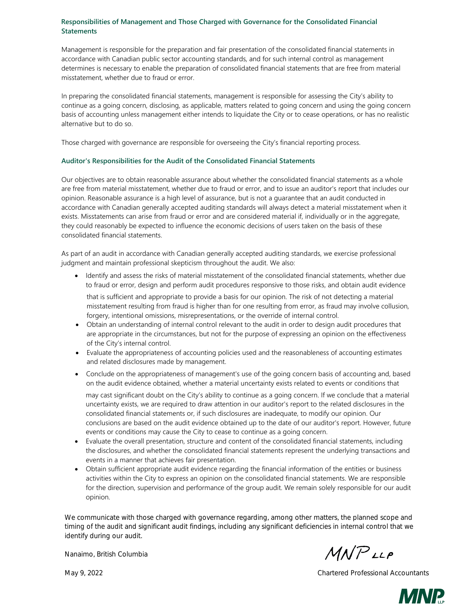### **Responsibilities of Management and Those Charged with Governance for the Consolidated Financial Statements**

Management is responsible for the preparation and fair presentation of the consolidated financial statements in accordance with Canadian public sector accounting standards, and for such internal control as management determines is necessary to enable the preparation of consolidated financial statements that are free from material misstatement, whether due to fraud or error.

In preparing the consolidated financial statements, management is responsible for assessing the City's ability to continue as a going concern, disclosing, as applicable, matters related to going concern and using the going concern basis of accounting unless management either intends to liquidate the City or to cease operations, or has no realistic alternative but to do so.

Those charged with governance are responsible for overseeing the City's financial reporting process.

### **Auditor's Responsibilities for the Audit of the Consolidated Financial Statements**

Our objectives are to obtain reasonable assurance about whether the consolidated financial statements as a whole are free from material misstatement, whether due to fraud or error, and to issue an auditor's report that includes our opinion. Reasonable assurance is a high level of assurance, but is not a guarantee that an audit conducted in accordance with Canadian generally accepted auditing standards will always detect a material misstatement when it exists. Misstatements can arise from fraud or error and are considered material if, individually or in the aggregate, they could reasonably be expected to influence the economic decisions of users taken on the basis of these consolidated financial statements.

As part of an audit in accordance with Canadian generally accepted auditing standards, we exercise professional judgment and maintain professional skepticism throughout the audit. We also:

 Identify and assess the risks of material misstatement of the consolidated financial statements, whether due to fraud or error, design and perform audit procedures responsive to those risks, and obtain audit evidence

that is sufficient and appropriate to provide a basis for our opinion. The risk of not detecting a material misstatement resulting from fraud is higher than for one resulting from error, as fraud may involve collusion, forgery, intentional omissions, misrepresentations, or the override of internal control.

- Obtain an understanding of internal control relevant to the audit in order to design audit procedures that are appropriate in the circumstances, but not for the purpose of expressing an opinion on the effectiveness of the City's internal control.
- Evaluate the appropriateness of accounting policies used and the reasonableness of accounting estimates and related disclosures made by management.
- Conclude on the appropriateness of management's use of the going concern basis of accounting and, based on the audit evidence obtained, whether a material uncertainty exists related to events or conditions that may cast significant doubt on the City's ability to continue as a going concern. If we conclude that a material uncertainty exists, we are required to draw attention in our auditor's report to the related disclosures in the consolidated financial statements or, if such disclosures are inadequate, to modify our opinion. Our conclusions are based on the audit evidence obtained up to the date of our auditor's report. However, future events or conditions may cause the City to cease to continue as a going concern.
- Evaluate the overall presentation, structure and content of the consolidated financial statements, including the disclosures, and whether the consolidated financial statements represent the underlying transactions and events in a manner that achieves fair presentation.
- Obtain sufficient appropriate audit evidence regarding the financial information of the entities or business activities within the City to express an opinion on the consolidated financial statements. We are responsible for the direction, supervision and performance of the group audit. We remain solely responsible for our audit opinion.

We communicate with those charged with governance regarding, among other matters, the planned scope and timing of the audit and significant audit findings, including any significant deficiencies in internal control that we identify during our audit.

Nanaimo, British Columbia

 $MNPLLP$ 

May 9, 2022 Chartered Professional Accountants

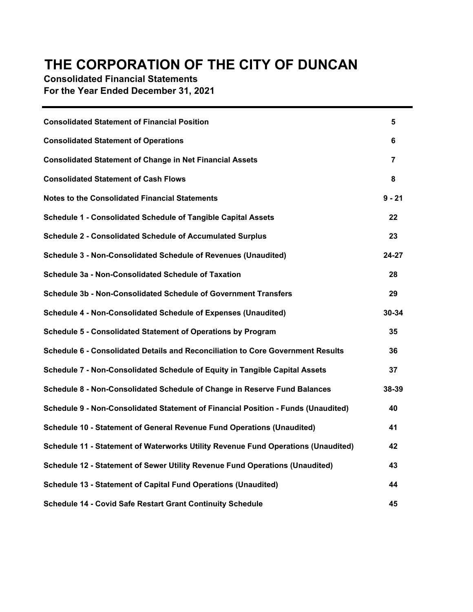# **THE CORPORATION OF THE CITY OF DUNCAN**

**Consolidated Financial Statements**

**For the Year Ended December 31, 2021**

| <b>Consolidated Statement of Financial Position</b>                               | 5         |
|-----------------------------------------------------------------------------------|-----------|
| <b>Consolidated Statement of Operations</b>                                       | 6         |
| <b>Consolidated Statement of Change in Net Financial Assets</b>                   | 7         |
| <b>Consolidated Statement of Cash Flows</b>                                       | 8         |
| <b>Notes to the Consolidated Financial Statements</b>                             | $9 - 21$  |
| Schedule 1 - Consolidated Schedule of Tangible Capital Assets                     | 22        |
| <b>Schedule 2 - Consolidated Schedule of Accumulated Surplus</b>                  | 23        |
| Schedule 3 - Non-Consolidated Schedule of Revenues (Unaudited)                    | 24-27     |
| Schedule 3a - Non-Consolidated Schedule of Taxation                               | 28        |
| <b>Schedule 3b - Non-Consolidated Schedule of Government Transfers</b>            | 29        |
| <b>Schedule 4 - Non-Consolidated Schedule of Expenses (Unaudited)</b>             | $30 - 34$ |
| Schedule 5 - Consolidated Statement of Operations by Program                      | 35        |
| Schedule 6 - Consolidated Details and Reconciliation to Core Government Results   | 36        |
| Schedule 7 - Non-Consolidated Schedule of Equity in Tangible Capital Assets       | 37        |
| Schedule 8 - Non-Consolidated Schedule of Change in Reserve Fund Balances         | 38-39     |
| Schedule 9 - Non-Consolidated Statement of Financial Position - Funds (Unaudited) | 40        |
| Schedule 10 - Statement of General Revenue Fund Operations (Unaudited)            | 41        |
| Schedule 11 - Statement of Waterworks Utility Revenue Fund Operations (Unaudited) | 42        |
| Schedule 12 - Statement of Sewer Utility Revenue Fund Operations (Unaudited)      | 43        |
| <b>Schedule 13 - Statement of Capital Fund Operations (Unaudited)</b>             | 44        |
| Schedule 14 - Covid Safe Restart Grant Continuity Schedule                        | 45        |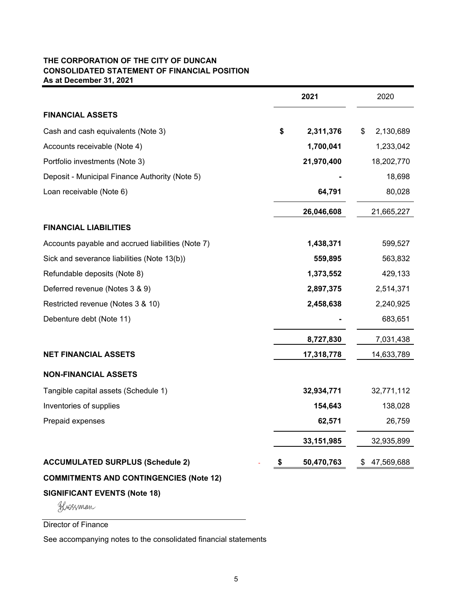### **THE CORPORATION OF THE CITY OF DUNCAN CONSOLIDATED STATEMENT OF FINANCIAL POSITION As at December 31, 2021**

|                                                   | 2021 |              | 2020 |            |
|---------------------------------------------------|------|--------------|------|------------|
| <b>FINANCIAL ASSETS</b>                           |      |              |      |            |
| Cash and cash equivalents (Note 3)                | \$   | 2,311,376    | \$   | 2,130,689  |
| Accounts receivable (Note 4)                      |      | 1,700,041    |      | 1,233,042  |
| Portfolio investments (Note 3)                    |      | 21,970,400   |      | 18,202,770 |
| Deposit - Municipal Finance Authority (Note 5)    |      |              |      | 18,698     |
| Loan receivable (Note 6)                          |      | 64,791       |      | 80,028     |
|                                                   |      | 26,046,608   |      | 21,665,227 |
| <b>FINANCIAL LIABILITIES</b>                      |      |              |      |            |
| Accounts payable and accrued liabilities (Note 7) |      | 1,438,371    |      | 599,527    |
| Sick and severance liabilities (Note 13(b))       |      | 559,895      |      | 563,832    |
| Refundable deposits (Note 8)                      |      | 1,373,552    |      | 429,133    |
| Deferred revenue (Notes 3 & 9)                    |      | 2,897,375    |      | 2,514,371  |
| Restricted revenue (Notes 3 & 10)                 |      | 2,458,638    |      | 2,240,925  |
| Debenture debt (Note 11)                          |      |              |      | 683,651    |
|                                                   |      | 8,727,830    |      | 7,031,438  |
| <b>NET FINANCIAL ASSETS</b>                       |      | 17,318,778   |      | 14,633,789 |
| <b>NON-FINANCIAL ASSETS</b>                       |      |              |      |            |
| Tangible capital assets (Schedule 1)              |      | 32,934,771   |      | 32,771,112 |
| Inventories of supplies                           |      | 154,643      |      | 138,028    |
| Prepaid expenses                                  |      | 62,571       |      | 26,759     |
|                                                   |      | 33, 151, 985 |      | 32,935,899 |
| <b>ACCUMULATED SURPLUS (Schedule 2)</b>           | \$   | 50,470,763   | \$   | 47,569,688 |
| <b>COMMITMENTS AND CONTINGENCIES (Note 12)</b>    |      |              |      |            |
| <b>SIGNIFICANT EVENTS (Note 18)</b>               |      |              |      |            |
| Hissyman                                          |      |              |      |            |

Director of Finance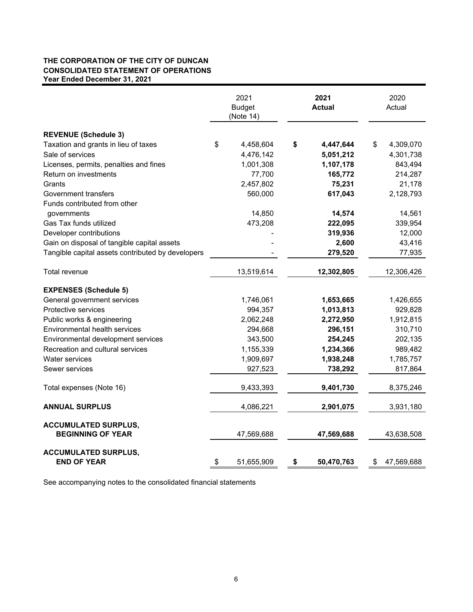### **THE CORPORATION OF THE CITY OF DUNCAN CONSOLIDATED STATEMENT OF OPERATIONS Year Ended December 31, 2021**

|                                                         | 2021<br><b>Budget</b><br>(Note 14) |            | 2021<br><b>Actual</b> |            |    | 2020<br>Actual |
|---------------------------------------------------------|------------------------------------|------------|-----------------------|------------|----|----------------|
| <b>REVENUE (Schedule 3)</b>                             |                                    |            |                       |            |    |                |
| Taxation and grants in lieu of taxes                    | \$                                 | 4,458,604  | \$                    | 4,447,644  | \$ | 4,309,070      |
| Sale of services                                        |                                    | 4,476,142  |                       | 5,051,212  |    | 4,301,738      |
| Licenses, permits, penalties and fines                  |                                    | 1,001,308  |                       | 1,107,178  |    | 843,494        |
| Return on investments                                   |                                    | 77,700     |                       | 165,772    |    | 214,287        |
| Grants                                                  |                                    | 2,457,802  |                       | 75,231     |    | 21,178         |
| Government transfers                                    |                                    | 560,000    |                       | 617,043    |    | 2,128,793      |
| Funds contributed from other                            |                                    |            |                       |            |    |                |
| governments                                             |                                    | 14,850     |                       | 14,574     |    | 14,561         |
| Gas Tax funds utilized                                  |                                    | 473,208    |                       | 222,095    |    | 339,954        |
| Developer contributions                                 |                                    |            |                       | 319,936    |    | 12,000         |
| Gain on disposal of tangible capital assets             |                                    |            |                       | 2,600      |    | 43,416         |
| Tangible capital assets contributed by developers       |                                    |            |                       | 279,520    |    | 77,935         |
| Total revenue                                           |                                    | 13,519,614 |                       | 12,302,805 |    | 12,306,426     |
| <b>EXPENSES (Schedule 5)</b>                            |                                    |            |                       |            |    |                |
| General government services                             |                                    | 1,746,061  |                       | 1,653,665  |    | 1,426,655      |
| Protective services                                     |                                    | 994,357    |                       | 1,013,813  |    | 929,828        |
| Public works & engineering                              |                                    | 2,062,248  |                       | 2,272,950  |    | 1,912,815      |
| <b>Environmental health services</b>                    |                                    | 294,668    |                       | 296,151    |    | 310,710        |
| Environmental development services                      |                                    | 343,500    |                       | 254,245    |    | 202,135        |
| Recreation and cultural services                        |                                    | 1,155,339  |                       | 1,234,366  |    | 989,482        |
| <b>Water services</b>                                   |                                    | 1,909,697  |                       | 1,938,248  |    | 1,785,757      |
| Sewer services                                          |                                    | 927,523    |                       | 738,292    |    | 817,864        |
| Total expenses (Note 16)                                |                                    | 9,433,393  |                       | 9,401,730  |    | 8,375,246      |
| <b>ANNUAL SURPLUS</b>                                   |                                    | 4,086,221  |                       | 2,901,075  |    | 3,931,180      |
| <b>ACCUMULATED SURPLUS,</b><br><b>BEGINNING OF YEAR</b> |                                    | 47,569,688 |                       | 47,569,688 |    | 43,638,508     |
| <b>ACCUMULATED SURPLUS,</b><br><b>END OF YEAR</b>       | $\frac{1}{2}$                      | 51,655,909 | \$                    | 50,470,763 | \$ | 47,569,688     |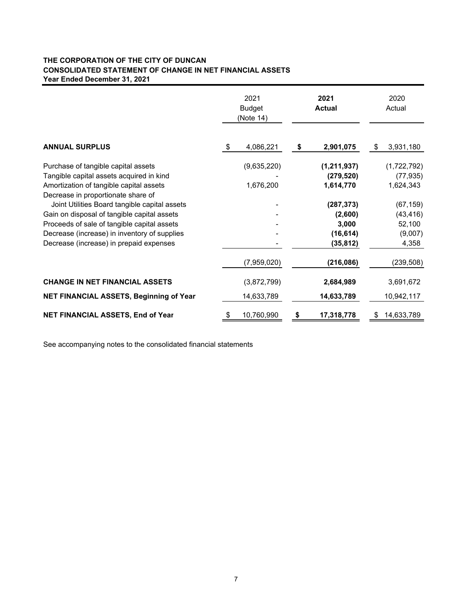### **THE CORPORATION OF THE CITY OF DUNCAN CONSOLIDATED STATEMENT OF CHANGE IN NET FINANCIAL ASSETS Year Ended December 31, 2021**

|                                               |    | 2021<br>2021<br><b>Budget</b><br><b>Actual</b><br>(Note 14) |    |               |                  |  |  | 2020<br>Actual |
|-----------------------------------------------|----|-------------------------------------------------------------|----|---------------|------------------|--|--|----------------|
| <b>ANNUAL SURPLUS</b>                         | \$ | 4,086,221                                                   | \$ | 2,901,075     | \$<br>3,931,180  |  |  |                |
| Purchase of tangible capital assets           |    | (9,635,220)                                                 |    | (1, 211, 937) | (1,722,792)      |  |  |                |
| Tangible capital assets acquired in kind      |    |                                                             |    | (279, 520)    | (77, 935)        |  |  |                |
| Amortization of tangible capital assets       |    | 1,676,200                                                   |    | 1,614,770     | 1,624,343        |  |  |                |
| Decrease in proportionate share of            |    |                                                             |    |               |                  |  |  |                |
| Joint Utilities Board tangible capital assets |    |                                                             |    | (287, 373)    | (67, 159)        |  |  |                |
| Gain on disposal of tangible capital assets   |    |                                                             |    | (2,600)       | (43, 416)        |  |  |                |
| Proceeds of sale of tangible capital assets   |    |                                                             |    | 3,000         | 52,100           |  |  |                |
| Decrease (increase) in inventory of supplies  |    |                                                             |    | (16, 614)     | (9,007)          |  |  |                |
| Decrease (increase) in prepaid expenses       |    |                                                             |    | (35, 812)     | 4,358            |  |  |                |
|                                               |    | (7,959,020)                                                 |    | (216, 086)    | (239,508)        |  |  |                |
| <b>CHANGE IN NET FINANCIAL ASSETS</b>         |    | (3,872,799)                                                 |    | 2,684,989     | 3,691,672        |  |  |                |
| NET FINANCIAL ASSETS, Beginning of Year       |    | 14,633,789                                                  |    | 14,633,789    | 10,942,117       |  |  |                |
| NET FINANCIAL ASSETS, End of Year             | \$ | 10,760,990                                                  | \$ | 17,318,778    | \$<br>14,633,789 |  |  |                |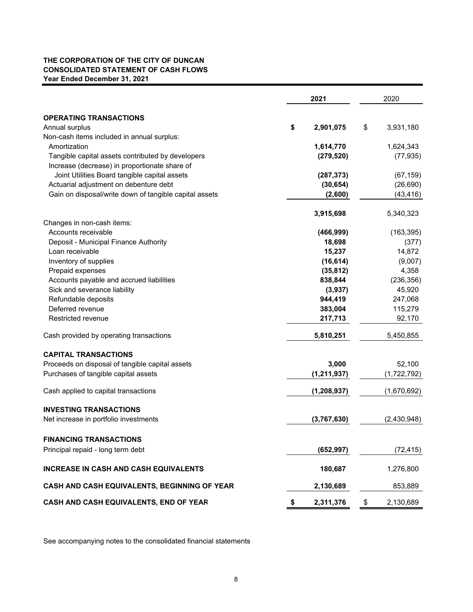### **THE CORPORATION OF THE CITY OF DUNCAN CONSOLIDATED STATEMENT OF CASH FLOWS Year Ended December 31, 2021**

|                                                        | 2021 |               |    | 2020        |  |  |
|--------------------------------------------------------|------|---------------|----|-------------|--|--|
| <b>OPERATING TRANSACTIONS</b>                          |      |               |    |             |  |  |
| Annual surplus                                         | \$   | 2,901,075     | \$ | 3,931,180   |  |  |
| Non-cash items included in annual surplus:             |      |               |    |             |  |  |
| Amortization                                           |      | 1,614,770     |    | 1,624,343   |  |  |
| Tangible capital assets contributed by developers      |      | (279, 520)    |    | (77, 935)   |  |  |
| Increase (decrease) in proportionate share of          |      |               |    |             |  |  |
| Joint Utilities Board tangible capital assets          |      | (287, 373)    |    | (67, 159)   |  |  |
| Actuarial adjustment on debenture debt                 |      | (30, 654)     |    | (26, 690)   |  |  |
| Gain on disposal/write down of tangible capital assets |      | (2,600)       |    | (43, 416)   |  |  |
|                                                        |      | 3,915,698     |    | 5,340,323   |  |  |
| Changes in non-cash items:                             |      |               |    |             |  |  |
| Accounts receivable                                    |      | (466, 999)    |    | (163, 395)  |  |  |
| Deposit - Municipal Finance Authority                  |      | 18,698        |    | (377)       |  |  |
| Loan receivable                                        |      | 15,237        |    | 14,872      |  |  |
| Inventory of supplies                                  |      | (16, 614)     |    | (9,007)     |  |  |
| Prepaid expenses                                       |      | (35, 812)     |    | 4,358       |  |  |
| Accounts payable and accrued liabilities               |      | 838,844       |    | (236, 356)  |  |  |
| Sick and severance liability                           |      | (3,937)       |    | 45,920      |  |  |
| Refundable deposits                                    |      | 944,419       |    | 247,068     |  |  |
| Deferred revenue                                       |      | 383,004       |    | 115,279     |  |  |
| Restricted revenue                                     |      | 217,713       |    | 92,170      |  |  |
| Cash provided by operating transactions                |      | 5,810,251     |    | 5,450,855   |  |  |
| <b>CAPITAL TRANSACTIONS</b>                            |      |               |    |             |  |  |
| Proceeds on disposal of tangible capital assets        |      | 3,000         |    | 52,100      |  |  |
| Purchases of tangible capital assets                   |      | (1, 211, 937) |    | (1,722,792) |  |  |
| Cash applied to capital transactions                   |      | (1, 208, 937) |    | (1,670,692) |  |  |
| <b>INVESTING TRANSACTIONS</b>                          |      |               |    |             |  |  |
| Net increase in portfolio investments                  |      | (3,767,630)   |    | (2,430,948) |  |  |
| <b>FINANCING TRANSACTIONS</b>                          |      |               |    |             |  |  |
| Principal repaid - long term debt                      |      | (652, 997)    |    | (72, 415)   |  |  |
| INCREASE IN CASH AND CASH EQUIVALENTS                  |      | 180,687       |    | 1,276,800   |  |  |
| CASH AND CASH EQUIVALENTS, BEGINNING OF YEAR           |      | 2,130,689     |    | 853,889     |  |  |
| CASH AND CASH EQUIVALENTS, END OF YEAR                 | \$   | 2,311,376     | \$ | 2,130,689   |  |  |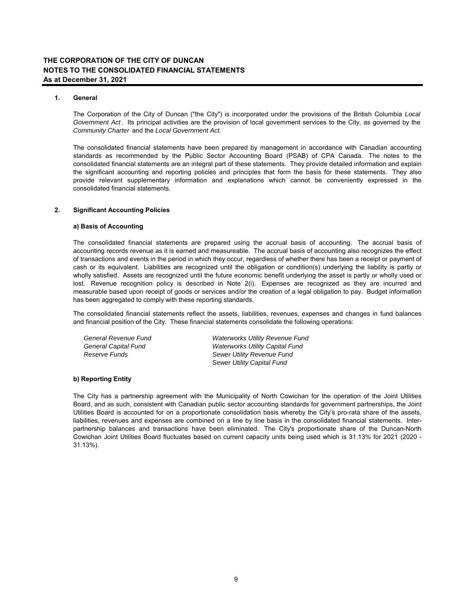#### **1. General**

The Corporation of the City of Duncan ("the City") is incorporated under the provisions of the British Columbia *Local Government Act* . Its principal activities are the provision of local government services to the City, as governed by the *Community Charter* and the *Local Government Act.*

The consolidated financial statements have been prepared by management in accordance with Canadian accounting standards as recommended by the Public Sector Accounting Board (PSAB) of CPA Canada. The notes to the consolidated financial statements are an integral part of these statements. They provide detailed information and explain the significant accounting and reporting policies and principles that form the basis for these statements. They also provide relevant supplementary information and explanations which cannot be conveniently expressed in the consolidated financial statements.

#### **2. Significant Accounting Policies**

#### **a) Basis of Accounting**

The consolidated financial statements are prepared using the accrual basis of accounting. The accrual basis of accounting records revenue as it is earned and measureable. The accrual basis of accounting also recognizes the effect of transactions and events in the period in which they occur, regardless of whether there has been a receipt or payment of cash or its equivalent. Liabilities are recognized until the obligation or condition(s) underlying the liability is partly or wholly satisfied. Assets are recognized until the future economic benefit underlying the asset is partly or wholly used or lost. Revenue recognition policy is described in Note 2(i). Expenses are recognized as they are incurred and measurable based upon receipt of goods or services and/or the creation of a legal obligation to pay. Budget information has been aggregated to comply with these reporting standards.

The consolidated financial statements reflect the assets, liabilities, revenues, expenses and changes in fund balances and financial position of the City. These financial statements consolidate the following operations:

| General Revenue Fund | <b>Waterworks Utility Revenue Fund</b> |
|----------------------|----------------------------------------|
| General Capital Fund | <b>Waterworks Utility Capital Fund</b> |
| Reserve Funds        | Sewer Utility Revenue Fund             |
|                      | Sewer Utility Capital Fund             |

#### **b) Reporting Entity**

The City has a partnership agreement with the Municipality of North Cowichan for the operation of the Joint Utilities Board, and as such, consistent with Canadian public sector accounting standards for government partnerships, the Joint Utilities Board is accounted for on a proportionate consolidation basis whereby the City's pro-rata share of the assets, liabilities, revenues and expenses are combined on a line by line basis in the consolidated financial statements. Interpartnership balances and transactions have been eliminated. The City's proportionate share of the Duncan-North Cowichan Joint Utilities Board fluctuates based on current capacity units being used which is 31.13% for 2021 (2020 - 31.13%).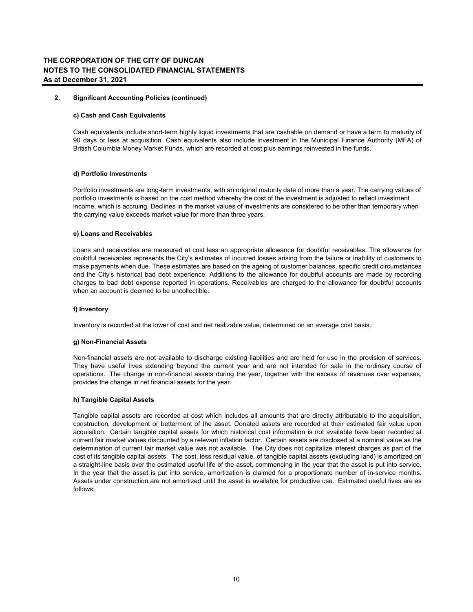#### **2. Significant Accounting Policies (continued)**

#### **c) Cash and Cash Equivalents**

Cash equivalents include short-term highly liquid investments that are cashable on demand or have a term to maturity of 90 days or less at acquisition. Cash equivalents also include investment in the Municipal Finance Authority (MFA) of British Columbia Money Market Funds, which are recorded at cost plus earnings reinvested in the funds.

#### **d) Portfolio Investments**

Portfolio investments are long-term investments, with an original maturity date of more than a year. The carrying values of portfolio investments is based on the cost method whereby the cost of the investment is adjusted to reflect investment income, which is accruing. Declines in the market values of investments are considered to be other than temporary when the carrying value exceeds market value for more than three years.

#### **e) Loans and Receivables**

Loans and receivables are measured at cost less an appropriate allowance for doubtful receivables. The allowance for doubtful receivables represents the City's estimates of incurred losses arising from the failure or inability of customers to make payments when due. These estimates are based on the ageing of customer balances, specific credit circumstances and the City's historical bad debt experience. Additions to the allowance for doubtful accounts are made by recording charges to bad debt expense reported in operations. Receivables are charged to the allowance for doubtful accounts when an account is deemed to be uncollectible.

#### **f) Inventory**

Inventory is recorded at the lower of cost and net realizable value, determined on an average cost basis.

#### **g) Non-Financial Assets**

Non-financial assets are not available to discharge existing liabilities and are held for use in the provision of services. They have useful lives extending beyond the current year and are not intended for sale in the ordinary course of operations. The change in non-financial assets during the year, together with the excess of revenues over expenses, provides the change in net financial assets for the year.

#### **h) Tangible Capital Assets**

Tangible capital assets are recorded at cost which includes all amounts that are directly attributable to the acquisition, construction, development or betterment of the asset. Donated assets are recorded at their estimated fair value upon acquisition. Certain tangible capital assets for which historical cost information is not available have been recorded at current fair market values discounted by a relevant inflation factor. Certain assets are disclosed at a nominal value as the determination of current fair market value was not available. The City does not capitalize interest charges as part of the cost of its tangible capital assets. The cost, less residual value, of tangible capital assets (excluding land) is amortized on a straight-line basis over the estimated useful life of the asset, commencing in the year that the asset is put into service. In the year that the asset is put into service, amortization is claimed for a proportionate number of in-service months. Assets under construction are not amortized until the asset is available for productive use. Estimated useful lives are as follows: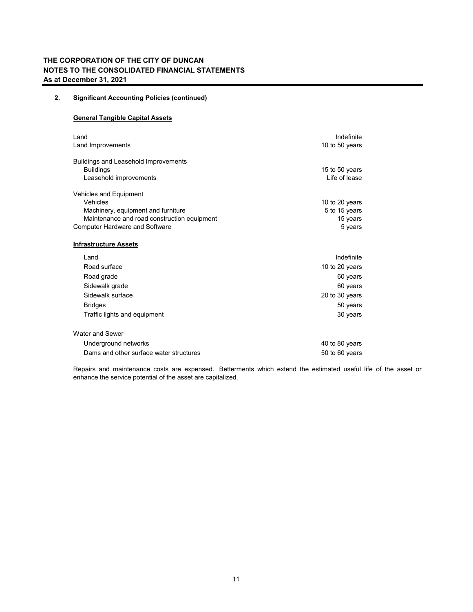### **2. Significant Accounting Policies (continued)**

#### **General Tangible Capital Assets**

| Land<br>Land Improvements                                                                                                                                               | Indefinite<br>10 to 50 years                           |
|-------------------------------------------------------------------------------------------------------------------------------------------------------------------------|--------------------------------------------------------|
| <b>Buildings and Leasehold Improvements</b><br><b>Buildings</b><br>Leasehold improvements                                                                               | 15 to 50 years<br>Life of lease                        |
| <b>Vehicles and Equipment</b><br>Vehicles<br>Machinery, equipment and furniture<br>Maintenance and road construction equipment<br><b>Computer Hardware and Software</b> | 10 to 20 years<br>5 to 15 years<br>15 years<br>5 years |

### **Infrastructure Assets**

| Land                                    | Indefinite     |
|-----------------------------------------|----------------|
| Road surface                            | 10 to 20 years |
| Road grade                              | 60 years       |
| Sidewalk grade                          | 60 years       |
| Sidewalk surface                        | 20 to 30 years |
| <b>Bridges</b>                          | 50 years       |
| Traffic lights and equipment            | 30 years       |
| Water and Sewer                         |                |
| Underground networks                    | 40 to 80 years |
| Dams and other surface water structures | 50 to 60 years |

Repairs and maintenance costs are expensed. Betterments which extend the estimated useful life of the asset or enhance the service potential of the asset are capitalized.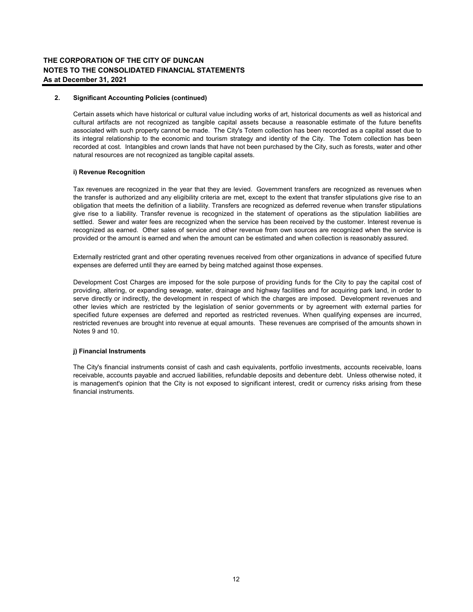#### **2. Significant Accounting Policies (continued)**

Certain assets which have historical or cultural value including works of art, historical documents as well as historical and cultural artifacts are not recognized as tangible capital assets because a reasonable estimate of the future benefits associated with such property cannot be made. The City's Totem collection has been recorded as a capital asset due to its integral relationship to the economic and tourism strategy and identity of the City. The Totem collection has been recorded at cost. Intangibles and crown lands that have not been purchased by the City, such as forests, water and other natural resources are not recognized as tangible capital assets.

#### **i) Revenue Recognition**

Tax revenues are recognized in the year that they are levied. Government transfers are recognized as revenues when the transfer is authorized and any eligibility criteria are met, except to the extent that transfer stipulations give rise to an obligation that meets the definition of a liability. Transfers are recognized as deferred revenue when transfer stipulations give rise to a liability. Transfer revenue is recognized in the statement of operations as the stipulation liabilities are settled. Sewer and water fees are recognized when the service has been received by the customer. Interest revenue is recognized as earned. Other sales of service and other revenue from own sources are recognized when the service is provided or the amount is earned and when the amount can be estimated and when collection is reasonably assured.

Externally restricted grant and other operating revenues received from other organizations in advance of specified future expenses are deferred until they are earned by being matched against those expenses.

Development Cost Charges are imposed for the sole purpose of providing funds for the City to pay the capital cost of providing, altering, or expanding sewage, water, drainage and highway facilities and for acquiring park land, in order to serve directly or indirectly, the development in respect of which the charges are imposed. Development revenues and other levies which are restricted by the legislation of senior governments or by agreement with external parties for specified future expenses are deferred and reported as restricted revenues. When qualifying expenses are incurred, restricted revenues are brought into revenue at equal amounts. These revenues are comprised of the amounts shown in Notes 9 and 10.

#### **j) Financial Instruments**

The City's financial instruments consist of cash and cash equivalents, portfolio investments, accounts receivable, loans receivable, accounts payable and accrued liabilities, refundable deposits and debenture debt. Unless otherwise noted, it is management's opinion that the City is not exposed to significant interest, credit or currency risks arising from these financial instruments.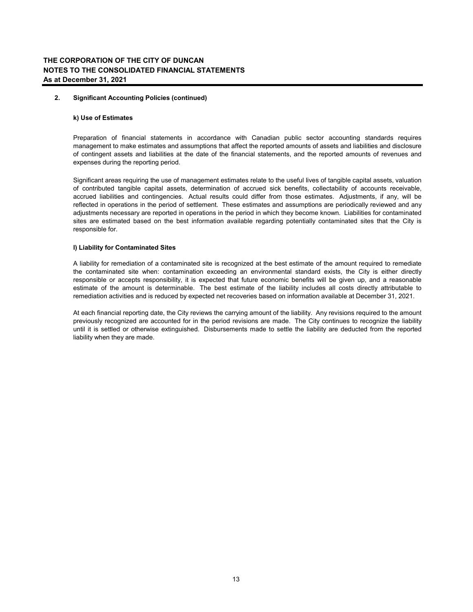#### **2. Significant Accounting Policies (continued)**

#### **k) Use of Estimates**

Preparation of financial statements in accordance with Canadian public sector accounting standards requires management to make estimates and assumptions that affect the reported amounts of assets and liabilities and disclosure of contingent assets and liabilities at the date of the financial statements, and the reported amounts of revenues and expenses during the reporting period.

Significant areas requiring the use of management estimates relate to the useful lives of tangible capital assets, valuation of contributed tangible capital assets, determination of accrued sick benefits, collectability of accounts receivable, accrued liabilities and contingencies. Actual results could differ from those estimates. Adjustments, if any, will be reflected in operations in the period of settlement. These estimates and assumptions are periodically reviewed and any adjustments necessary are reported in operations in the period in which they become known. Liabilities for contaminated sites are estimated based on the best information available regarding potentially contaminated sites that the City is responsible for.

#### **l) Liability for Contaminated Sites**

A liability for remediation of a contaminated site is recognized at the best estimate of the amount required to remediate the contaminated site when: contamination exceeding an environmental standard exists, the City is either directly responsible or accepts responsibility, it is expected that future economic benefits will be given up, and a reasonable estimate of the amount is determinable. The best estimate of the liability includes all costs directly attributable to remediation activities and is reduced by expected net recoveries based on information available at December 31, 2021.

At each financial reporting date, the City reviews the carrying amount of the liability. Any revisions required to the amount previously recognized are accounted for in the period revisions are made. The City continues to recognize the liability until it is settled or otherwise extinguished. Disbursements made to settle the liability are deducted from the reported liability when they are made.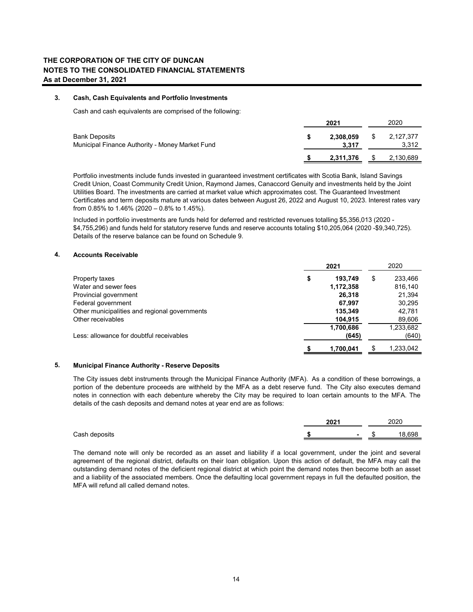#### **3. Cash, Cash Equivalents and Portfolio Investments**

Cash and cash equivalents are comprised of the following:

|                                                                         | 2021 |                    | 2020 |                    |  |
|-------------------------------------------------------------------------|------|--------------------|------|--------------------|--|
| <b>Bank Deposits</b><br>Municipal Finance Authority - Money Market Fund |      | 2,308,059<br>3.317 | \$   | 2,127,377<br>3.312 |  |
|                                                                         |      | 2,311,376          | \$   | 2,130,689          |  |

Portfolio investments include funds invested in guaranteed investment certificates with Scotia Bank, Island Savings Credit Union, Coast Community Credit Union, Raymond James, Canaccord Genuity and investments held by the Joint Utilities Board. The investments are carried at market value which approximates cost. The Guaranteed Investment Certificates and term deposits mature at various dates between August 26, 2022 and August 10, 2023. Interest rates vary from 0.85% to 1.46% (2020 – 0.8% to 1.45%).

Included in portfolio investments are funds held for deferred and restricted revenues totalling \$5,356,013 (2020 - \$4,755,296) and funds held for statutory reserve funds and reserve accounts totaling \$10,205,064 (2020 -\$9,340,725). Details of the reserve balance can be found on Schedule 9.

#### **4. Accounts Receivable**

|                                               | 2021 |           | 2020          |
|-----------------------------------------------|------|-----------|---------------|
| Property taxes                                | \$   | 193.749   | \$<br>233,466 |
| Water and sewer fees                          |      | 1,172,358 | 816,140       |
| Provincial government                         |      | 26.318    | 21,394        |
| Federal government                            |      | 67,997    | 30,295        |
| Other municipalities and regional governments |      | 135,349   | 42,781        |
| Other receivables                             |      | 104,915   | 89,606        |
|                                               |      | 1,700,686 | 1,233,682     |
| Less: allowance for doubtful receivables      |      | (645)     | (640)         |
|                                               |      | 1,700,041 | 1,233,042     |

#### **5. Municipal Finance Authority - Reserve Deposits**

The City issues debt instruments through the Municipal Finance Authority (MFA). As a condition of these borrowings, a portion of the debenture proceeds are withheld by the MFA as a debt reserve fund. The City also executes demand notes in connection with each debenture whereby the City may be required to loan certain amounts to the MFA. The details of the cash deposits and demand notes at year end are as follows:

|               | <b>OOO</b><br>49. | חמחמ                   |     |  |
|---------------|-------------------|------------------------|-----|--|
| Cash deposits |                   | $\left  \cdot \right $ | 698 |  |

The demand note will only be recorded as an asset and liability if a local government, under the joint and several agreement of the regional district, defaults on their loan obligation. Upon this action of default, the MFA may call the outstanding demand notes of the deficient regional district at which point the demand notes then become both an asset and a liability of the associated members. Once the defaulting local government repays in full the defaulted position, the MFA will refund all called demand notes.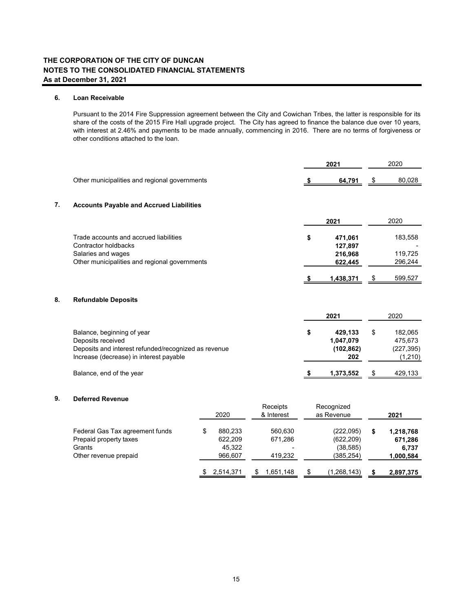### **6. Loan Receivable**

Pursuant to the 2014 Fire Suppression agreement between the City and Cowichan Tribes, the latter is responsible for its share of the costs of the 2015 Fire Hall upgrade project. The City has agreed to finance the balance due over 10 years, with interest at 2.46% and payments to be made annually, commencing in 2016. There are no terms of forgiveness or other conditions attached to the loan.

|    |                                                                     | 2021 |                    |   | 2020               |
|----|---------------------------------------------------------------------|------|--------------------|---|--------------------|
|    | Other municipalities and regional governments                       |      | 64,791             | S | 80,028             |
| 7. | <b>Accounts Payable and Accrued Liabilities</b>                     |      |                    |   |                    |
|    |                                                                     |      | 2021               |   | 2020               |
|    | Trade accounts and accrued liabilities<br>Contractor holdbacks      | \$   | 471,061<br>127,897 |   | 183,558            |
|    | Salaries and wages<br>Other municipalities and regional governments |      | 216,968<br>622,445 |   | 119,725<br>296,244 |
|    |                                                                     |      | 1,438,371          |   | 599.527            |
|    |                                                                     |      |                    |   |                    |

#### **8. Refundable Deposits**

|                                                                                                                                                    |  | 2020                                      |    |                                             |  |
|----------------------------------------------------------------------------------------------------------------------------------------------------|--|-------------------------------------------|----|---------------------------------------------|--|
| Balance, beginning of year<br>Deposits received<br>Deposits and interest refunded/recognized as revenue<br>Increase (decrease) in interest payable |  | 429.133<br>1,047,079<br>(102, 862)<br>202 | \$ | 182,065<br>475.673<br>(227, 395)<br>(1,210) |  |
| Balance, end of the year                                                                                                                           |  | 1,373,552                                 |    | 429,133                                     |  |

#### **9. Deferred Revenue**

|                                 | 2020      | Receipts<br>& Interest | Recognized<br>as Revenue | 2021           |
|---------------------------------|-----------|------------------------|--------------------------|----------------|
| Federal Gas Tax agreement funds | 880.233   | 560.630                | (222,095)                | 1,218,768<br>S |
| Prepaid property taxes          | 622.209   | 671.286                | (622, 209)               | 671,286        |
| Grants                          | 45.322    | -                      | (38, 585)                | 6,737          |
| Other revenue prepaid           | 966.607   | 419.232                | (385,254)                | 1,000,584      |
|                                 | 2,514,371 | 1,651,148              | (1, 268, 143)            | 2,897,375      |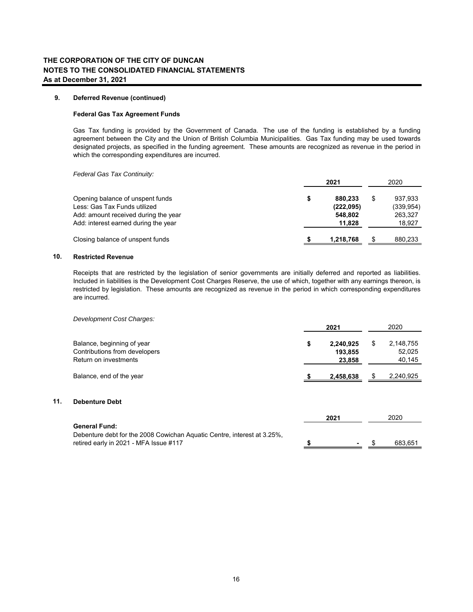#### **9. Deferred Revenue (continued)**

#### **Federal Gas Tax Agreement Funds**

Gas Tax funding is provided by the Government of Canada. The use of the funding is established by a funding agreement between the City and the Union of British Columbia Municipalities. Gas Tax funding may be used towards designated projects, as specified in the funding agreement. These amounts are recognized as revenue in the period in which the corresponding expenditures are incurred.

*Federal Gas Tax Continuity:*

|                                      |   |           | 2020 |            |
|--------------------------------------|---|-----------|------|------------|
| Opening balance of unspent funds     | S | 880.233   | S    | 937,933    |
| Less: Gas Tax Funds utilized         |   | (222,095) |      | (339, 954) |
| Add: amount received during the year |   | 548.802   |      | 263,327    |
| Add: interest earned during the year |   | 11.828    |      | 18,927     |
| Closing balance of unspent funds     |   | 1,218,768 |      | 880,233    |

#### **10. Restricted Revenue**

Receipts that are restricted by the legislation of senior governments are initially deferred and reported as liabilities. Included in liabilities is the Development Cost Charges Reserve, the use of which, together with any earnings thereon, is restricted by legislation. These amounts are recognized as revenue in the period in which corresponding expenditures are incurred.

*Development Cost Charges:*

|                                                                                      |   | 2021                           | 2020                                |
|--------------------------------------------------------------------------------------|---|--------------------------------|-------------------------------------|
| Balance, beginning of year<br>Contributions from developers<br>Return on investments | S | 2,240,925<br>193,855<br>23,858 | \$<br>2,148,755<br>52,025<br>40,145 |
| Balance, end of the year                                                             |   | 2,458,638                      | 2,240,925                           |
| Balandina Bald                                                                       |   |                                |                                     |

#### **11. Debenture Debt**

| <b>General Fund:</b>                                                    |        |         |
|-------------------------------------------------------------------------|--------|---------|
| Debenture debt for the 2008 Cowichan Aquatic Centre, interest at 3.25%. |        |         |
| retired early in 2021 - MFA Issue #117                                  | $\sim$ | 683.651 |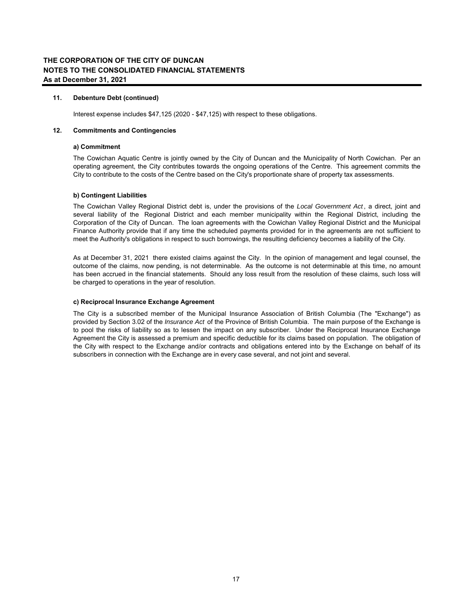#### **11. Debenture Debt (continued)**

Interest expense includes \$47,125 (2020 - \$47,125) with respect to these obligations.

#### **12. Commitments and Contingencies**

#### **a) Commitment**

The Cowichan Aquatic Centre is jointly owned by the City of Duncan and the Municipality of North Cowichan. Per an operating agreement, the City contributes towards the ongoing operations of the Centre. This agreement commits the City to contribute to the costs of the Centre based on the City's proportionate share of property tax assessments.

#### **b) Contingent Liabilities**

The Cowichan Valley Regional District debt is, under the provisions of the *Local Government Act* , a direct, joint and several liability of the Regional District and each member municipality within the Regional District, including the Corporation of the City of Duncan. The loan agreements with the Cowichan Valley Regional District and the Municipal Finance Authority provide that if any time the scheduled payments provided for in the agreements are not sufficient to meet the Authority's obligations in respect to such borrowings, the resulting deficiency becomes a liability of the City.

As at December 31, 2021 there existed claims against the City. In the opinion of management and legal counsel, the outcome of the claims, now pending, is not determinable. As the outcome is not determinable at this time, no amount has been accrued in the financial statements. Should any loss result from the resolution of these claims, such loss will be charged to operations in the year of resolution.

#### **c) Reciprocal Insurance Exchange Agreement**

The City is a subscribed member of the Municipal Insurance Association of British Columbia (The "Exchange") as provided by Section 3.02 of the *Insurance Act* of the Province of British Columbia. The main purpose of the Exchange is to pool the risks of liability so as to lessen the impact on any subscriber. Under the Reciprocal Insurance Exchange Agreement the City is assessed a premium and specific deductible for its claims based on population. The obligation of the City with respect to the Exchange and/or contracts and obligations entered into by the Exchange on behalf of its subscribers in connection with the Exchange are in every case several, and not joint and several.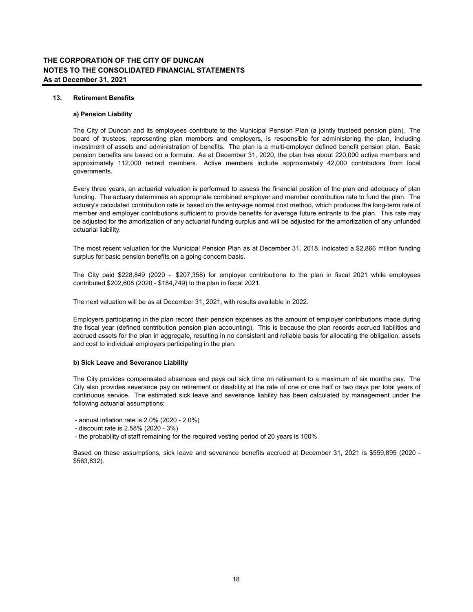#### **13. Retirement Benefits**

#### **a) Pension Liability**

The City of Duncan and its employees contribute to the Municipal Pension Plan (a jointly trusteed pension plan). The board of trustees, representing plan members and employers, is responsible for administering the plan, including investment of assets and administration of benefits. The plan is a multi-employer defined benefit pension plan. Basic pension benefits are based on a formula. As at December 31, 2020, the plan has about 220,000 active members and approximately 112,000 retired members. Active members include approximately 42,000 contributors from local governments.

Every three years, an actuarial valuation is performed to assess the financial position of the plan and adequacy of plan funding. The actuary determines an appropriate combined employer and member contribution rate to fund the plan. The actuary's calculated contribution rate is based on the entry-age normal cost method, which produces the long-term rate of member and employer contributions sufficient to provide benefits for average future entrants to the plan. This rate may be adjusted for the amortization of any actuarial funding surplus and will be adjusted for the amortization of any unfunded actuarial liability.

The most recent valuation for the Municipal Pension Plan as at December 31, 2018, indicated a \$2,866 million funding surplus for basic pension benefits on a going concern basis.

The City paid \$228,849 (2020 - \$207,358) for employer contributions to the plan in fiscal 2021 while employees contributed \$202,608 (2020 - \$184,749) to the plan in fiscal 2021.

The next valuation will be as at December 31, 2021, with results available in 2022.

Employers participating in the plan record their pension expenses as the amount of employer contributions made during the fiscal year (defined contribution pension plan accounting). This is because the plan records accrued liabilities and accrued assets for the plan in aggregate, resulting in no consistent and reliable basis for allocating the obligation, assets and cost to individual employers participating in the plan.

#### **b) Sick Leave and Severance Liability**

The City provides compensated absences and pays out sick time on retirement to a maximum of six months pay. The City also provides severance pay on retirement or disability at the rate of one or one half or two days per total years of continuous service. The estimated sick leave and severance liability has been calculated by management under the following actuarial assumptions:

- annual inflation rate is 2.0% (2020 2.0%)
- discount rate is 2.58% (2020 3%)
- the probability of staff remaining for the required vesting period of 20 years is 100%

Based on these assumptions, sick leave and severance benefits accrued at December 31, 2021 is \$559,895 (2020 - \$563,832).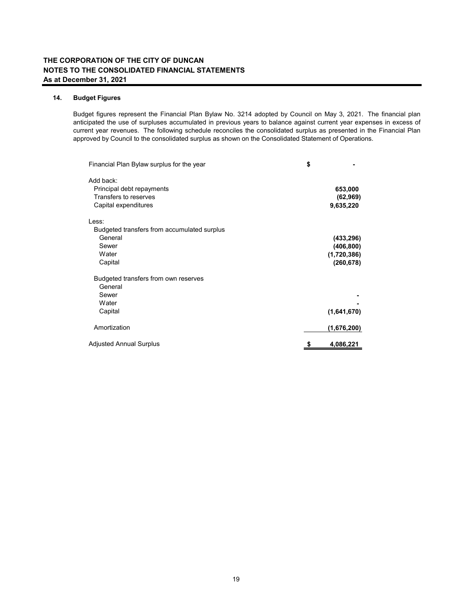#### **14. Budget Figures**

Budget figures represent the Financial Plan Bylaw No. 3214 adopted by Council on May 3, 2021. The financial plan anticipated the use of surpluses accumulated in previous years to balance against current year expenses in excess of current year revenues. The following schedule reconciles the consolidated surplus as presented in the Financial Plan approved by Council to the consolidated surplus as shown on the Consolidated Statement of Operations.

| Financial Plan Bylaw surplus for the year   | \$              |
|---------------------------------------------|-----------------|
| Add back:                                   |                 |
| Principal debt repayments                   | 653,000         |
| Transfers to reserves                       | (62, 969)       |
| Capital expenditures                        | 9,635,220       |
| Less:                                       |                 |
| Budgeted transfers from accumulated surplus |                 |
| General                                     | (433, 296)      |
| Sewer                                       | (406, 800)      |
| Water                                       | (1,720,386)     |
| Capital                                     | (260, 678)      |
| Budgeted transfers from own reserves        |                 |
| General                                     |                 |
| Sewer                                       |                 |
| Water                                       |                 |
| Capital                                     | (1,641,670)     |
| Amortization                                | (1,676,200)     |
| <b>Adjusted Annual Surplus</b>              | 4,086,221<br>\$ |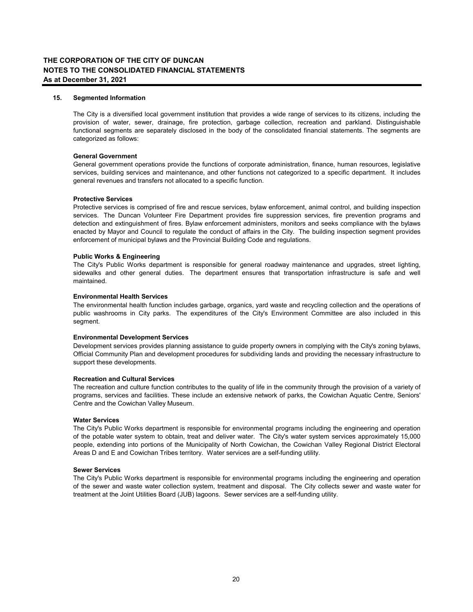#### **15. Segmented Information**

The City is a diversified local government institution that provides a wide range of services to its citizens, including the provision of water, sewer, drainage, fire protection, garbage collection, recreation and parkland. Distinguishable functional segments are separately disclosed in the body of the consolidated financial statements. The segments are categorized as follows:

#### **General Government**

General government operations provide the functions of corporate administration, finance, human resources, legislative services, building services and maintenance, and other functions not categorized to a specific department. It includes general revenues and transfers not allocated to a specific function.

#### **Protective Services**

Protective services is comprised of fire and rescue services, bylaw enforcement, animal control, and building inspection services. The Duncan Volunteer Fire Department provides fire suppression services, fire prevention programs and detection and extinguishment of fires. Bylaw enforcement administers, monitors and seeks compliance with the bylaws enacted by Mayor and Council to regulate the conduct of affairs in the City. The building inspection segment provides enforcement of municipal bylaws and the Provincial Building Code and regulations.

#### **Public Works & Engineering**

The City's Public Works department is responsible for general roadway maintenance and upgrades, street lighting, sidewalks and other general duties. The department ensures that transportation infrastructure is safe and well maintained.

#### **Environmental Health Services**

The environmental health function includes garbage, organics, yard waste and recycling collection and the operations of public washrooms in City parks. The expenditures of the City's Environment Committee are also included in this segment.

#### **Environmental Development Services**

Development services provides planning assistance to guide property owners in complying with the City's zoning bylaws, Official Community Plan and development procedures for subdividing lands and providing the necessary infrastructure to support these developments.

#### **Recreation and Cultural Services**

The recreation and culture function contributes to the quality of life in the community through the provision of a variety of programs, services and facilities. These include an extensive network of parks, the Cowichan Aquatic Centre, Seniors' Centre and the Cowichan Valley Museum.

#### **Water Services**

The City's Public Works department is responsible for environmental programs including the engineering and operation of the potable water system to obtain, treat and deliver water. The City's water system services approximately 15,000 people, extending into portions of the Municipality of North Cowichan, the Cowichan Valley Regional District Electoral Areas D and E and Cowichan Tribes territory. Water services are a self-funding utility.

#### **Sewer Services**

The City's Public Works department is responsible for environmental programs including the engineering and operation of the sewer and waste water collection system, treatment and disposal. The City collects sewer and waste water for treatment at the Joint Utilities Board (JUB) lagoons. Sewer services are a self-funding utility.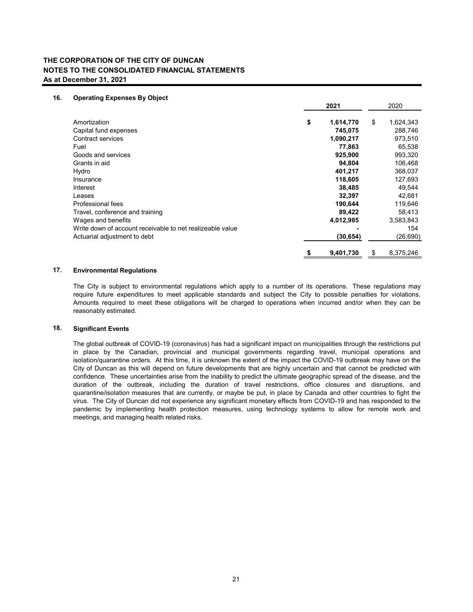| 16. | <b>Operating Expenses By Object</b>                       |    |           |                 |
|-----|-----------------------------------------------------------|----|-----------|-----------------|
|     |                                                           |    | 2021      | 2020            |
|     | Amortization                                              | \$ | 1,614,770 | \$<br>1,624,343 |
|     | Capital fund expenses                                     |    | 745,075   | 288,746         |
|     | Contract services                                         |    | 1,090,217 | 973,510         |
|     | Fuel                                                      |    | 77,863    | 65,538          |
|     | Goods and services                                        |    | 925,900   | 993,320         |
|     | Grants in aid                                             |    | 94,804    | 106,468         |
|     | Hydro                                                     |    | 401,217   | 368,037         |
|     | Insurance                                                 |    | 118,605   | 127,693         |
|     | Interest                                                  |    | 38,485    | 49,544          |
|     | Leases                                                    |    | 32,397    | 42,681          |
|     | Professional fees                                         |    | 190,644   | 119,646         |
|     | Travel, conference and training                           |    | 89,422    | 58,413          |
|     | Wages and benefits                                        |    | 4,012,985 | 3,583,843       |
|     | Write down of account receivable to net realizeable value |    |           | 154             |
|     | Actuarial adjustment to debt                              |    | (30, 654) | (26, 690)       |
|     |                                                           | S  | 9,401,730 | \$<br>8,375,246 |

#### **17. Environmental Regulations**

The City is subject to environmental regulations which apply to a number of its operations. These regulations may require future expenditures to meet applicable standards and subject the City to possible penalties for violations. Amounts required to meet these obligations will be charged to operations when incurred and/or when they can be reasonably estimated.

#### **18. Significant Events**

The global outbreak of COVID-19 (coronavirus) has had a significant impact on municipalities through the restrictions put in place by the Canadian, provincial and municipal governments regarding travel, municipal operations and isolation/quarantine orders. At this time, it is unknown the extent of the impact the COVID-19 outbreak may have on the City of Duncan as this will depend on future developments that are highly uncertain and that cannot be predicted with confidence. These uncertainties arise from the inability to predict the ultimate geographic spread of the disease, and the duration of the outbreak, including the duration of travel restrictions, office closures and disruptions, and quarantine/isolation measures that are currently, or maybe be put, in place by Canada and other countries to fight the virus. The City of Duncan did not experience any significant monetary effects from COVID-19 and has responded to the pandemic by implementing health protection measures, using technology systems to allow for remote work and meetings, and managing health related risks.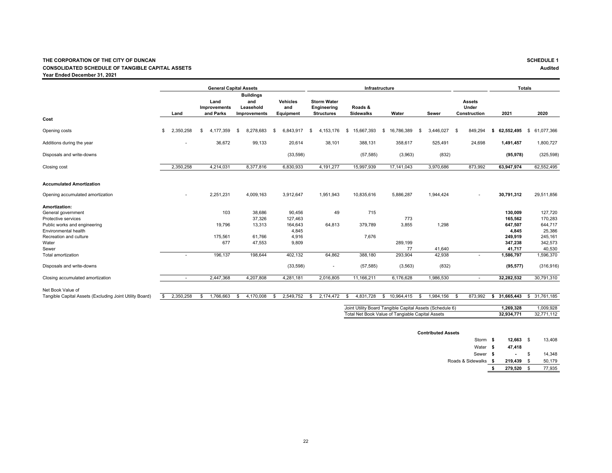#### **THE CORPORATION OF THE CITY OF DUNCAN SCHEDULE 1 CONSOLIDATED SCHEDULE OF TANGIBLE CAPITAL ASSETSYear Ended December 31, 2021**

|                                                                              |    |                          |    | <b>General Capital Assets</b>     |                                                      |     |                                     |    | Infrastructure                                         |           |                             |    |              |      | <b>Totals</b> |           |         |         |                    |    |                    |  |  |  |       |           |  |            |                                 |  |  |  |  |  |              |  |      |  |      |
|------------------------------------------------------------------------------|----|--------------------------|----|-----------------------------------|------------------------------------------------------|-----|-------------------------------------|----|--------------------------------------------------------|-----------|-----------------------------|----|--------------|------|---------------|-----------|---------|---------|--------------------|----|--------------------|--|--|--|-------|-----------|--|------------|---------------------------------|--|--|--|--|--|--------------|--|------|--|------|
|                                                                              |    | Land                     |    | Land<br>Improvements<br>and Parks | <b>Buildings</b><br>and<br>Leasehold<br>Improvements |     | <b>Vehicles</b><br>and<br>Equipment |    | <b>Storm Water</b><br>Engineering<br><b>Structures</b> |           | Roads &<br><b>Sidewalks</b> |    |              |      |               |           |         |         |                    |    |                    |  |  |  | Water |           |  |            | <b>Assets</b><br>Under<br>Sewer |  |  |  |  |  | Construction |  | 2021 |  | 2020 |
| Cost                                                                         |    |                          |    |                                   |                                                      |     |                                     |    |                                                        |           |                             |    |              |      |               |           |         |         |                    |    |                    |  |  |  |       |           |  |            |                                 |  |  |  |  |  |              |  |      |  |      |
| Opening costs                                                                | S  | 2,350,258                | £. | 4,177,359                         | \$<br>8,278,683                                      | -\$ | 6,843,917                           | S  | 4,153,176                                              | \$        | 15,667,393                  | \$ | 16,786,389   | - \$ | 3,446,027     | <b>S</b>  | 849,294 | s.      | 62,552,495         | -S | 61.077.366         |  |  |  |       |           |  |            |                                 |  |  |  |  |  |              |  |      |  |      |
| Additions during the year                                                    |    | $\blacksquare$           |    | 36,672                            | 99,133                                               |     | 20,614                              |    | 38,101                                                 |           | 388,131                     |    | 358,617      |      | 525,491       |           | 24,698  |         | 1,491,457          |    | 1,800,727          |  |  |  |       |           |  |            |                                 |  |  |  |  |  |              |  |      |  |      |
| Disposals and write-downs                                                    |    |                          |    |                                   |                                                      |     |                                     |    |                                                        | (33, 598) |                             |    |              |      |               | (57, 585) |         | (3,963) | (832)              |    |                    |  |  |  |       | (95, 978) |  | (325, 598) |                                 |  |  |  |  |  |              |  |      |  |      |
| Closing cost                                                                 |    | 2,350,258                |    | 4,214,031                         | 8,377,816                                            |     | 6,830,933                           |    | 4,191,277                                              |           | 15,997,939                  |    | 17,141,043   |      | 3,970,686     |           | 873,992 |         | 63,947,974         |    | 62,552,495         |  |  |  |       |           |  |            |                                 |  |  |  |  |  |              |  |      |  |      |
| <b>Accumulated Amortization</b>                                              |    |                          |    |                                   |                                                      |     |                                     |    |                                                        |           |                             |    |              |      |               |           |         |         |                    |    |                    |  |  |  |       |           |  |            |                                 |  |  |  |  |  |              |  |      |  |      |
| Opening accumulated amortization                                             |    | $\overline{\phantom{a}}$ |    | 2,251,231                         | 4,009,163                                            |     | 3,912,647                           |    | 1,951,943                                              |           | 10,835,616                  |    | 5,886,287    |      | 1,944,424     |           | ٠       |         | 30,791,312         |    | 29,511,856         |  |  |  |       |           |  |            |                                 |  |  |  |  |  |              |  |      |  |      |
| Amortization:                                                                |    |                          |    |                                   |                                                      |     |                                     |    |                                                        |           |                             |    |              |      |               |           |         |         |                    |    |                    |  |  |  |       |           |  |            |                                 |  |  |  |  |  |              |  |      |  |      |
| General government<br>Protective services                                    |    |                          |    | 103                               | 38,686<br>37,326                                     |     | 90,456<br>127,463                   |    | 49                                                     |           | 715                         |    | 773          |      |               |           |         |         | 130,009<br>165,562 |    | 127,720<br>170,283 |  |  |  |       |           |  |            |                                 |  |  |  |  |  |              |  |      |  |      |
| Public works and engineering                                                 |    |                          |    | 19,796                            | 13,313                                               |     | 164,643                             |    | 64,813                                                 |           | 379,789                     |    | 3,855        |      | 1,298         |           |         |         | 647,507            |    | 644,717            |  |  |  |       |           |  |            |                                 |  |  |  |  |  |              |  |      |  |      |
| Environmental health                                                         |    |                          |    |                                   |                                                      |     | 4,845                               |    |                                                        |           |                             |    |              |      |               |           |         |         | 4,845              |    | 25,386             |  |  |  |       |           |  |            |                                 |  |  |  |  |  |              |  |      |  |      |
| Recreation and culture                                                       |    |                          |    | 175,561                           | 61,766                                               |     | 4,916                               |    |                                                        |           | 7,676                       |    |              |      |               |           |         |         | 249,919            |    | 245,161            |  |  |  |       |           |  |            |                                 |  |  |  |  |  |              |  |      |  |      |
| Water                                                                        |    |                          |    | 677                               | 47,553                                               |     | 9,809                               |    |                                                        |           |                             |    | 289,199      |      |               |           |         |         | 347,238            |    | 342,573            |  |  |  |       |           |  |            |                                 |  |  |  |  |  |              |  |      |  |      |
| Sewer                                                                        |    |                          |    |                                   |                                                      |     |                                     |    |                                                        |           |                             |    | 77           |      | 41,640        |           |         |         | 41,717             |    | 40,530             |  |  |  |       |           |  |            |                                 |  |  |  |  |  |              |  |      |  |      |
| Total amortization                                                           |    |                          |    | 196,137                           | 198,644                                              |     | 402,132                             |    | 64,862                                                 |           | 388,180                     |    | 293,904      |      | 42,938        |           |         |         | 1,586,797          |    | 1,596,370          |  |  |  |       |           |  |            |                                 |  |  |  |  |  |              |  |      |  |      |
| Disposals and write-downs                                                    |    |                          |    |                                   |                                                      |     | (33,598)                            |    |                                                        |           | (57, 585)                   |    | (3, 563)     |      | (832)         |           |         |         | (95, 577)          |    | (316, 916)         |  |  |  |       |           |  |            |                                 |  |  |  |  |  |              |  |      |  |      |
| Closing accumulated amortization                                             |    | $\sim$                   |    | 2,447,368                         | 4,207,808                                            |     | 4,281,181                           |    | 2,016,805                                              |           | 11,166,211                  |    | 6,176,628    |      | 1,986,530     |           | $\sim$  |         | 32,282,532         |    | 30,791,310         |  |  |  |       |           |  |            |                                 |  |  |  |  |  |              |  |      |  |      |
| Net Book Value of<br>Tangible Capital Assets (Excluding Joint Utility Board) | -S | 2,350,258                |    | 1,766,663                         | 4,170,008                                            | \$. | 2,549,752                           | S. | 2,174,472                                              | -\$       | 4,831,728                   |    | \$10,964,415 | \$.  | 1,984,156     | - \$      | 873,992 | \$      | 31,665,443         |    | \$31,761,185       |  |  |  |       |           |  |            |                                 |  |  |  |  |  |              |  |      |  |      |

| Joint Utility Board Tangible Capital Assets (Schedule 6) | 1.269.328  | 1.009.928  |
|----------------------------------------------------------|------------|------------|
|                                                          |            |            |
| Total Net Book Value of Tangiable Capital Assets         | 32.934.771 | 32.771.112 |

| <b>Contributed Assets</b> |      |         |    |        |
|---------------------------|------|---------|----|--------|
| Storm \$                  |      | 12.663  | \$ | 13.408 |
| Water                     | \$   | 47,418  |    |        |
| Sewer                     | - \$ |         |    | 14.348 |
| Roads & Sidewalks         |      | 219.439 | S  | 50.179 |
|                           |      | 279.520 | S  | 77.935 |

**Audited**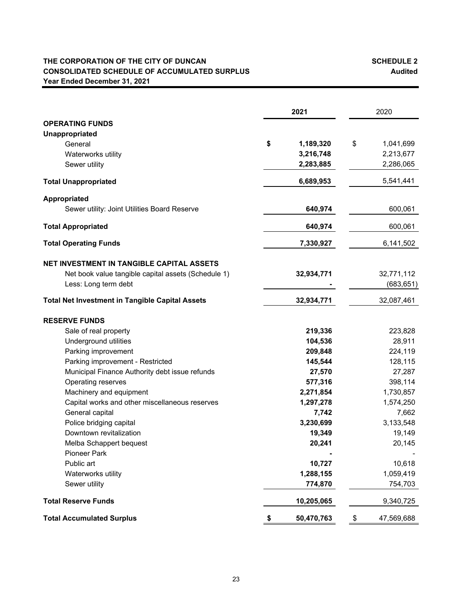### THE CORPORATION OF THE CITY OF DUNCAN **SCHEDULE 2 CONSOLIDATED SCHEDULE OF ACCUMULATED SURPLUS Audited Year Ended December 31, 2021**

|                                                        | 2021             | 2020             |
|--------------------------------------------------------|------------------|------------------|
| <b>OPERATING FUNDS</b><br><b>Unappropriated</b>        |                  |                  |
| General                                                | \$<br>1,189,320  | \$<br>1,041,699  |
| Waterworks utility                                     | 3,216,748        | 2,213,677        |
| Sewer utility                                          | 2,283,885        | 2,286,065        |
| <b>Total Unappropriated</b>                            | 6,689,953        | 5,541,441        |
| <b>Appropriated</b>                                    |                  |                  |
| Sewer utility: Joint Utilities Board Reserve           | 640,974          | 600,061          |
| <b>Total Appropriated</b>                              | 640,974          | 600,061          |
| <b>Total Operating Funds</b>                           | 7,330,927        | 6,141,502        |
| NET INVESTMENT IN TANGIBLE CAPITAL ASSETS              |                  |                  |
| Net book value tangible capital assets (Schedule 1)    | 32,934,771       | 32,771,112       |
| Less: Long term debt                                   |                  | (683, 651)       |
| <b>Total Net Investment in Tangible Capital Assets</b> | 32,934,771       | 32,087,461       |
| <b>RESERVE FUNDS</b>                                   |                  |                  |
| Sale of real property                                  | 219,336          | 223,828          |
| Underground utilities                                  | 104,536          | 28,911           |
| Parking improvement                                    | 209,848          | 224,119          |
| Parking improvement - Restricted                       | 145,544          | 128,115          |
| Municipal Finance Authority debt issue refunds         | 27,570           | 27,287           |
| Operating reserves                                     | 577,316          | 398,114          |
| Machinery and equipment                                | 2,271,854        | 1,730,857        |
| Capital works and other miscellaneous reserves         | 1,297,278        | 1,574,250        |
| General capital                                        | 7,742            | 7,662            |
| Police bridging capital                                | 3,230,699        | 3,133,548        |
| Downtown revitalization                                | 19,349           | 19,149           |
| Melba Schappert bequest<br>Pioneer Park                | 20,241           | 20,145           |
| Public art                                             | 10,727           | 10,618           |
| Waterworks utility                                     | 1,288,155        | 1,059,419        |
| Sewer utility                                          | 774,870          | 754,703          |
| <b>Total Reserve Funds</b>                             | 10,205,065       | 9,340,725        |
| <b>Total Accumulated Surplus</b>                       | \$<br>50,470,763 | \$<br>47,569,688 |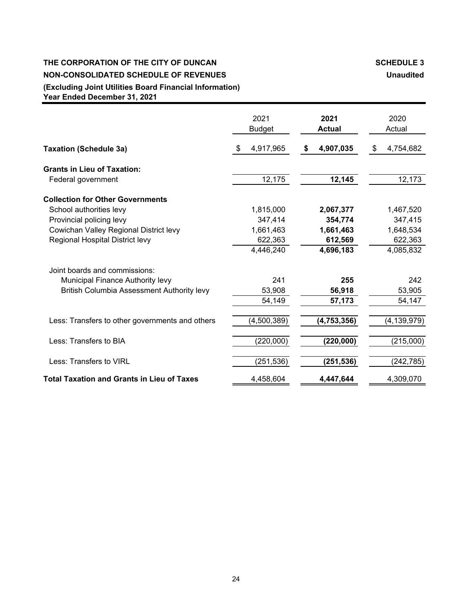# THE CORPORATION OF THE CITY OF DUNCAN **SCHEDULE 3**

### **NON-CONSOLIDATED SCHEDULE OF REVENUES EXAMPLEMENT SCHEDULE OF REVENUES**

### **(Excluding Joint Utilities Board Financial Information)**

**Year Ended December 31, 2021**

|                                                   | 2021<br><b>Budget</b> | 2021<br><b>Actual</b> | 2020<br>Actual  |
|---------------------------------------------------|-----------------------|-----------------------|-----------------|
| Taxation (Schedule 3a)                            | 4,917,965<br>\$       | 4,907,035<br>\$       | \$<br>4,754,682 |
| <b>Grants in Lieu of Taxation:</b>                |                       |                       |                 |
| Federal government                                | 12,175                | 12,145                | 12,173          |
| <b>Collection for Other Governments</b>           |                       |                       |                 |
| School authorities levy                           | 1,815,000             | 2,067,377             | 1,467,520       |
| Provincial policing levy                          | 347,414               | 354,774               | 347,415         |
| Cowichan Valley Regional District levy            | 1,661,463             | 1,661,463             | 1,648,534       |
| Regional Hospital District levy                   | 622,363               | 612,569               | 622,363         |
|                                                   | 4,446,240             | 4,696,183             | 4,085,832       |
| Joint boards and commissions:                     |                       |                       |                 |
| Municipal Finance Authority levy                  | 241                   | 255                   | 242             |
| British Columbia Assessment Authority levy        | 53,908                | 56,918                | 53,905          |
|                                                   | 54,149                | 57,173                | 54,147          |
| Less: Transfers to other governments and others   | (4,500,389)           | (4, 753, 356)         | (4, 139, 979)   |
| Less: Transfers to BIA                            | (220,000)             | (220, 000)            | (215,000)       |
| Less: Transfers to VIRL                           | (251, 536)            | (251, 536)            | (242, 785)      |
| <b>Total Taxation and Grants in Lieu of Taxes</b> | 4,458,604             | 4,447,644             | 4,309,070       |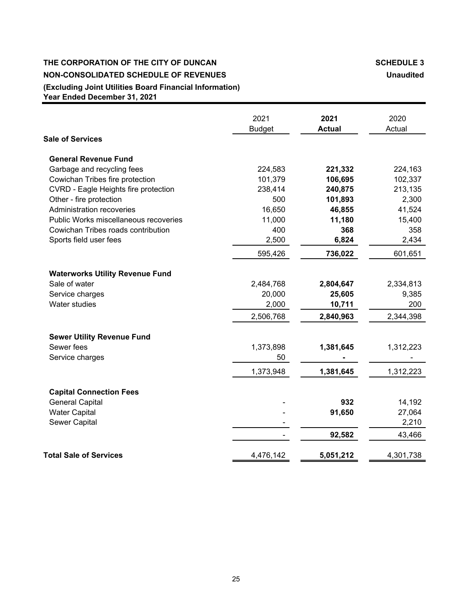### THE CORPORATION OF THE CITY OF DUNCAN **SCHEDULE 3 NON-CONSOLIDATED SCHEDULE OF REVENUES EXAMPLEMENT SCHEDULE OF REVENUES**

# **(Excluding Joint Utilities Board Financial Information)**

**Year Ended December 31, 2021**

|                                        | 2021<br><b>Budget</b> | 2021<br><b>Actual</b> | 2020<br>Actual |
|----------------------------------------|-----------------------|-----------------------|----------------|
| <b>Sale of Services</b>                |                       |                       |                |
| <b>General Revenue Fund</b>            |                       |                       |                |
| Garbage and recycling fees             | 224,583               | 221,332               | 224,163        |
| Cowichan Tribes fire protection        | 101,379               | 106,695               | 102,337        |
| CVRD - Eagle Heights fire protection   | 238,414               | 240,875               | 213,135        |
| Other - fire protection                | 500                   | 101,893               | 2,300          |
| Administration recoveries              | 16,650                | 46,855                | 41,524         |
| Public Works miscellaneous recoveries  | 11,000                | 11,180                | 15,400         |
| Cowichan Tribes roads contribution     | 400                   | 368                   | 358            |
| Sports field user fees                 | 2,500                 | 6,824                 | 2,434          |
|                                        | 595,426               | 736,022               | 601,651        |
| <b>Waterworks Utility Revenue Fund</b> |                       |                       |                |
| Sale of water                          | 2,484,768             | 2,804,647             | 2,334,813      |
| Service charges                        | 20,000                | 25,605                | 9,385          |
| Water studies                          | 2,000                 | 10,711                | 200            |
|                                        | 2,506,768             | 2,840,963             | 2,344,398      |
| <b>Sewer Utility Revenue Fund</b>      |                       |                       |                |
| Sewer fees                             | 1,373,898             | 1,381,645             | 1,312,223      |
| Service charges                        | 50                    |                       |                |
|                                        | 1,373,948             | 1,381,645             | 1,312,223      |
| <b>Capital Connection Fees</b>         |                       |                       |                |
| <b>General Capital</b>                 |                       | 932                   | 14,192         |
| <b>Water Capital</b>                   |                       | 91,650                | 27,064         |
| <b>Sewer Capital</b>                   |                       |                       | 2,210          |
|                                        |                       | 92,582                | 43,466         |
| <b>Total Sale of Services</b>          | 4,476,142             | 5,051,212             | 4,301,738      |
|                                        |                       |                       |                |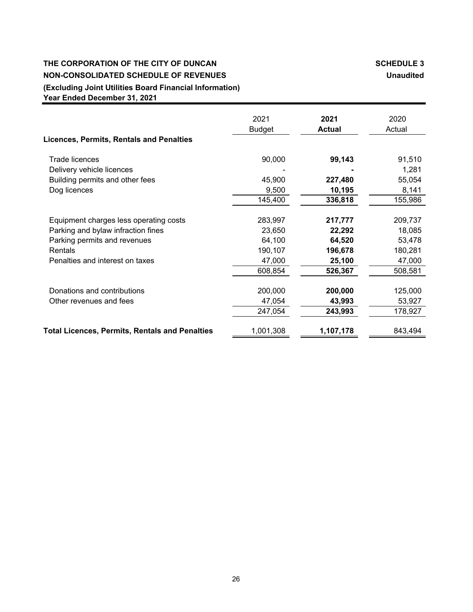# THE CORPORATION OF THE CITY OF DUNCAN **SCHEDULE 3 NON-CONSOLIDATED SCHEDULE OF REVENUES EXAMPLEMENT SCHEDULE OF REVENUES (Excluding Joint Utilities Board Financial Information)**

|                                                       | 2021<br><b>Budget</b> | 2021<br><b>Actual</b> | 2020<br>Actual |
|-------------------------------------------------------|-----------------------|-----------------------|----------------|
| Licences, Permits, Rentals and Penalties              |                       |                       |                |
| Trade licences                                        | 90,000                | 99,143                | 91,510         |
| Delivery vehicle licences                             |                       |                       | 1,281          |
| Building permits and other fees                       | 45,900                | 227,480               | 55,054         |
| Dog licences                                          | 9,500                 | 10,195                | 8,141          |
|                                                       | 145,400               | 336,818               | 155,986        |
| Equipment charges less operating costs                | 283,997               | 217,777               | 209,737        |
| Parking and bylaw infraction fines                    | 23,650                | 22,292                | 18,085         |
| Parking permits and revenues                          | 64,100                | 64,520                | 53,478         |
| <b>Rentals</b>                                        | 190,107               | 196,678               | 180,281        |
| Penalties and interest on taxes                       | 47,000                | 25,100                | 47,000         |
|                                                       | 608,854               | 526,367               | 508,581        |
| Donations and contributions                           | 200,000               | 200,000               | 125,000        |
| Other revenues and fees                               | 47,054                | 43,993                | 53,927         |
|                                                       | 247,054               | 243,993               | 178,927        |
| <b>Total Licences, Permits, Rentals and Penalties</b> | 1,001,308             | 1,107,178             | 843,494        |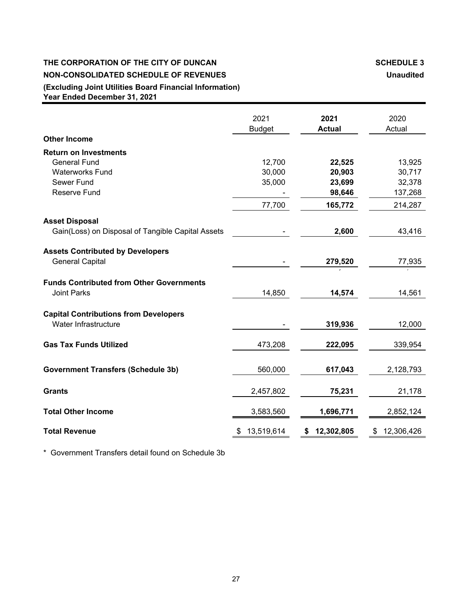# THE CORPORATION OF THE CITY OF DUNCAN **SCHEDULE 3**

## **NON-CONSOLIDATED SCHEDULE OF REVENUES EXAMPLEMENT SCHEDULE OF REVENUES**

# **(Excluding Joint Utilities Board Financial Information)**

**Year Ended December 31, 2021**

| <b>Other Income</b>                                                   | 2021<br><b>Budget</b> | 2021<br><b>Actual</b> | 2020<br>Actual   |
|-----------------------------------------------------------------------|-----------------------|-----------------------|------------------|
|                                                                       |                       |                       |                  |
| <b>Return on Investments</b>                                          |                       |                       |                  |
| <b>General Fund</b>                                                   | 12,700                | 22,525                | 13,925           |
| <b>Waterworks Fund</b><br>Sewer Fund                                  | 30,000<br>35,000      | 20,903                | 30,717           |
| <b>Reserve Fund</b>                                                   |                       | 23,699                | 32,378           |
|                                                                       |                       | 98,646                | 137,268          |
|                                                                       | 77,700                | 165,772               | 214,287          |
| <b>Asset Disposal</b>                                                 |                       |                       |                  |
| Gain(Loss) on Disposal of Tangible Capital Assets                     |                       | 2,600                 | 43,416           |
|                                                                       |                       |                       |                  |
| <b>Assets Contributed by Developers</b>                               |                       |                       |                  |
| <b>General Capital</b>                                                |                       | 279,520               | 77,935           |
| <b>Funds Contributed from Other Governments</b><br><b>Joint Parks</b> | 14,850                | 14,574                | 14,561           |
| <b>Capital Contributions from Developers</b><br>Water Infrastructure  |                       | 319,936               | 12,000           |
| <b>Gas Tax Funds Utilized</b>                                         | 473,208               | 222,095               | 339,954          |
| <b>Government Transfers (Schedule 3b)</b>                             | 560,000               | 617,043               | 2,128,793        |
| <b>Grants</b>                                                         | 2,457,802             | 75,231                | 21,178           |
| <b>Total Other Income</b>                                             | 3,583,560             | 1,696,771             | 2,852,124        |
| <b>Total Revenue</b>                                                  | 13,519,614<br>S       | 12,302,805<br>\$      | 12,306,426<br>\$ |

\* Government Transfers detail found on Schedule 3b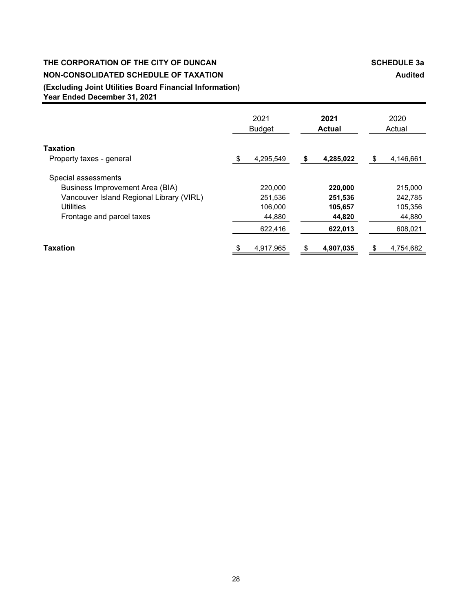### THE CORPORATION OF THE CITY OF DUNCAN SCHEDULE 3a

### **NON-CONSOLIDATED SCHEDULE OF TAXATION Audited**

# **(Excluding Joint Utilities Board Financial Information)**

**Year Ended December 31, 2021**

|                                          | 2021<br><b>Budget</b> | 2021<br><b>Actual</b> | 2020<br>Actual  |  |  |
|------------------------------------------|-----------------------|-----------------------|-----------------|--|--|
| <b>Taxation</b>                          |                       |                       |                 |  |  |
| Property taxes - general                 | 4,295,549<br>-\$      | 4,285,022<br>S        | 4,146,661<br>S  |  |  |
| Special assessments                      |                       |                       |                 |  |  |
| <b>Business Improvement Area (BIA)</b>   | 220,000               | 220,000               | 215,000         |  |  |
| Vancouver Island Regional Library (VIRL) | 251,536               | 251,536               | 242,785         |  |  |
| <b>Utilities</b>                         | 106,000               | 105,657               | 105,356         |  |  |
| Frontage and parcel taxes                | 44,880                | 44,820                | 44,880          |  |  |
|                                          | 622,416               | 622,013               | 608,021         |  |  |
| Taxation                                 | 4.917.965<br>\$       | 4,907,035             | \$<br>4.754.682 |  |  |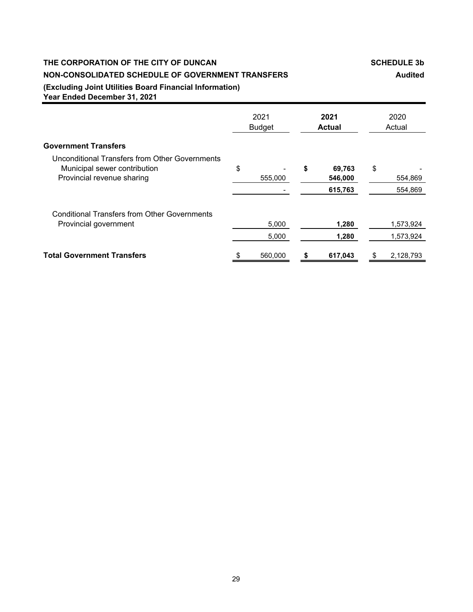### THE CORPORATION OF THE CITY OF DUNCAN SCHEDULE 3b

### **NON-CONSOLIDATED SCHEDULE OF GOVERNMENT TRANSFERS Audited**

### **(Excluding Joint Utilities Board Financial Information)**

**Year Ended December 31, 2021**

|                                                                                                              | 2021<br><b>Budget</b> | 2021<br><b>Actual</b>              |    | 2020<br>Actual         |
|--------------------------------------------------------------------------------------------------------------|-----------------------|------------------------------------|----|------------------------|
| <b>Government Transfers</b>                                                                                  |                       |                                    |    |                        |
| Unconditional Transfers from Other Governments<br>Municipal sewer contribution<br>Provincial revenue sharing | \$<br>555.000         | \$<br>69,763<br>546,000<br>615,763 | \$ | 554,869<br>554,869     |
| Conditional Transfers from Other Governments<br>Provincial government                                        | 5,000<br>5,000        | 1,280<br>1,280                     |    | 1,573,924<br>1,573,924 |
| <b>Total Government Transfers</b>                                                                            | \$<br>560,000         | 617,043                            | S  | 2,128,793              |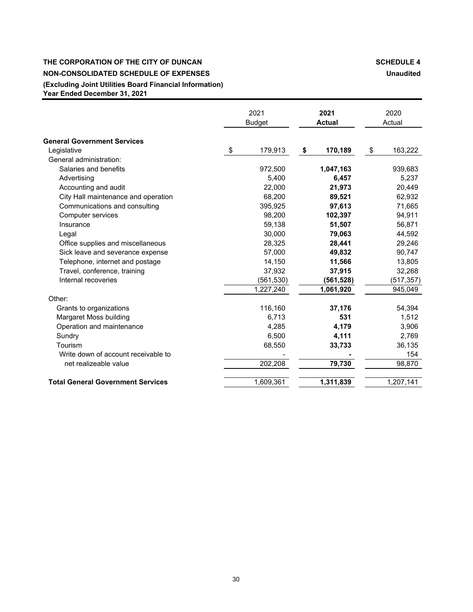|                                          | 2021<br><b>Budget</b> | 2021<br><b>Actual</b> |           | 2020<br>Actual |
|------------------------------------------|-----------------------|-----------------------|-----------|----------------|
|                                          |                       |                       |           |                |
| <b>General Government Services</b>       |                       |                       |           |                |
| Legislative                              | \$<br>179,913         | \$<br>170,189         | \$        | 163,222        |
| General administration:                  |                       |                       |           |                |
| Salaries and benefits                    | 972,500               | 1,047,163             |           | 939,683        |
| Advertising                              | 5,400                 | 6,457                 |           | 5,237          |
| Accounting and audit                     | 22,000                | 21,973                |           | 20,449         |
| City Hall maintenance and operation      | 68,200                | 89,521                |           | 62,932         |
| Communications and consulting            | 395,925               | 97,613                |           | 71,665         |
| Computer services                        | 98,200                | 102,397               |           | 94,911         |
| Insurance                                | 59,138                | 51,507                |           | 56,871         |
| Legal                                    | 30,000                | 79,063                |           | 44,592         |
| Office supplies and miscellaneous        | 28,325                | 28,441                |           | 29,246         |
| Sick leave and severance expense         | 57,000                | 49,832                |           | 90,747         |
| Telephone, internet and postage          | 14,150                | 11,566                |           | 13,805         |
| Travel, conference, training             | 37,932                | 37,915                |           | 32,268         |
| Internal recoveries                      | (561, 530)            | (561,528)             | (517,357) |                |
|                                          | 1,227,240             | 1,061,920             |           | 945,049        |
| Other:                                   |                       |                       |           |                |
| Grants to organizations                  | 116,160               | 37,176                |           | 54,394         |
| Margaret Moss building                   | 6,713                 | 531                   |           | 1,512          |
| Operation and maintenance                | 4,285                 | 4,179                 |           | 3,906          |
| Sundry                                   | 6,500                 | 4,111                 |           | 2,769          |
| Tourism                                  | 68,550                | 33,733                |           | 36,135         |
| Write down of account receivable to      |                       |                       |           | 154            |
| net realizeable value                    | 202,208               | 79,730                |           | 98,870         |
| <b>Total General Government Services</b> | 1,609,361             | 1,311,839             |           | 1,207,141      |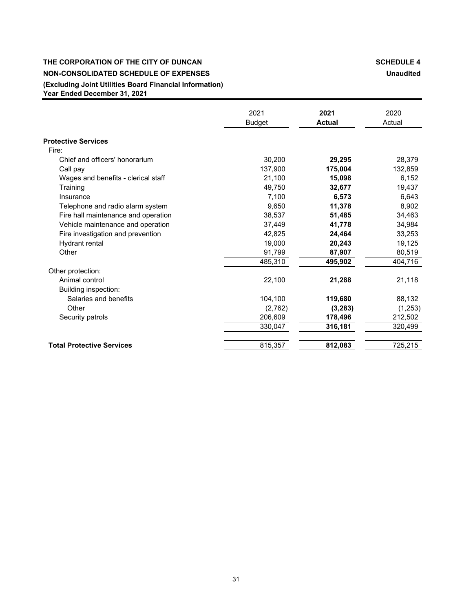|                                     | 2021          | 2021          | 2020    |
|-------------------------------------|---------------|---------------|---------|
|                                     | <b>Budget</b> | <b>Actual</b> | Actual  |
| <b>Protective Services</b>          |               |               |         |
| Fire:                               |               |               |         |
| Chief and officers' honorarium      | 30,200        | 29,295        | 28,379  |
| Call pay                            | 137,900       | 175,004       | 132,859 |
| Wages and benefits - clerical staff | 21,100        | 15,098        | 6,152   |
| Training                            | 49,750        | 32,677        | 19,437  |
| Insurance                           | 7,100         | 6,573         | 6,643   |
| Telephone and radio alarm system    | 9,650         | 11,378        | 8,902   |
| Fire hall maintenance and operation | 38,537        | 51,485        | 34,463  |
| Vehicle maintenance and operation   | 37,449        | 41,778        | 34,984  |
| Fire investigation and prevention   | 42,825        | 24,464        | 33,253  |
| Hydrant rental                      | 19,000        | 20,243        | 19,125  |
| Other                               | 91,799        | 87,907        | 80,519  |
|                                     | 485,310       | 495,902       | 404,716 |
| Other protection:                   |               |               |         |
| Animal control                      | 22,100        | 21,288        | 21,118  |
| Building inspection:                |               |               |         |
| Salaries and benefits               | 104,100       | 119,680       | 88,132  |
| Other                               | (2,762)       | (3, 283)      | (1,253) |
| Security patrols                    | 206,609       | 178,496       | 212,502 |
|                                     | 330,047       | 316,181       | 320,499 |
| <b>Total Protective Services</b>    | 815,357       | 812,083       | 725,215 |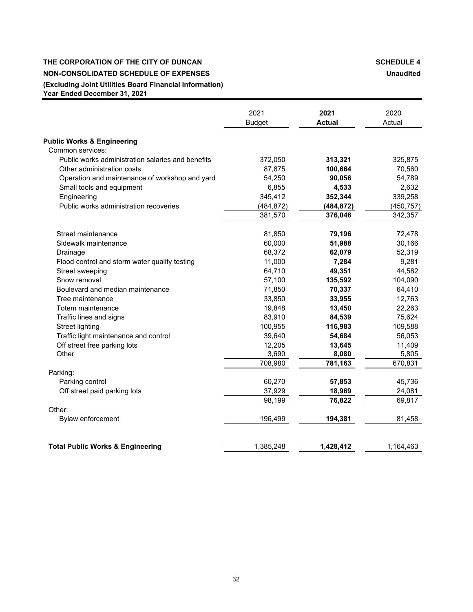|                                                           | 2021<br><b>Budget</b> | 2021<br><b>Actual</b> | 2020<br>Actual |
|-----------------------------------------------------------|-----------------------|-----------------------|----------------|
| <b>Public Works &amp; Engineering</b><br>Common services: |                       |                       |                |
| Public works administration salaries and benefits         | 372,050               | 313,321               | 325,875        |
| Other administration costs                                | 87,875                | 100,664               | 70,560         |
| Operation and maintenance of workshop and yard            | 54,250                | 90,056                | 54,789         |
| Small tools and equipment                                 | 6,855                 | 4,533                 | 2,632          |
| Engineering                                               | 345,412               | 352,344               | 339,258        |
| Public works administration recoveries                    | (484, 872)            | (484, 872)            | (450, 757)     |
|                                                           | 381,570               | 376,046               | 342,357        |
| Street maintenance                                        | 81,850                | 79,196                | 72,478         |
| Sidewalk maintenance                                      | 60,000                | 51,988                | 30,166         |
| Drainage                                                  | 68,372                | 62,079                | 52,319         |
| Flood control and storm water quality testing             | 11,000                | 7,284                 | 9,281          |
| Street sweeping                                           | 64,710                | 49,351                | 44,582         |
| Snow removal                                              | 57,100                | 135,592               | 104,090        |
| Boulevard and median maintenance                          | 71,850                | 70,337                | 64,410         |
| Tree maintenance                                          | 33,850                | 33,955                | 12,763         |
| Totem maintenance                                         | 19,848                | 13,450                | 22,263         |
| Traffic lines and signs                                   | 83,910                | 84,539                | 75,624         |
| Street lighting                                           | 100,955               | 116,983               | 109,588        |
| Traffic light maintenance and control                     | 39,640                | 54,684                | 56,053         |
| Off street free parking lots                              | 12,205                | 13,645                | 11,409         |
| Other                                                     | 3,690                 | 8,080                 | 5,805          |
|                                                           | 708,980               | 781,163               | 670,831        |
| Parking:                                                  |                       |                       |                |
| Parking control                                           | 60,270                | 57,853                | 45,736         |
| Off street paid parking lots                              | 37,929                | 18,969                | 24,081         |
|                                                           | 98,199                | 76,822                | 69,817         |
| Other:                                                    |                       |                       |                |
| Bylaw enforcement                                         | 196,499               | 194,381               | 81,458         |
| <b>Total Public Works &amp; Engineering</b>               | 1,385,248             | 1,428,412             | 1,164,463      |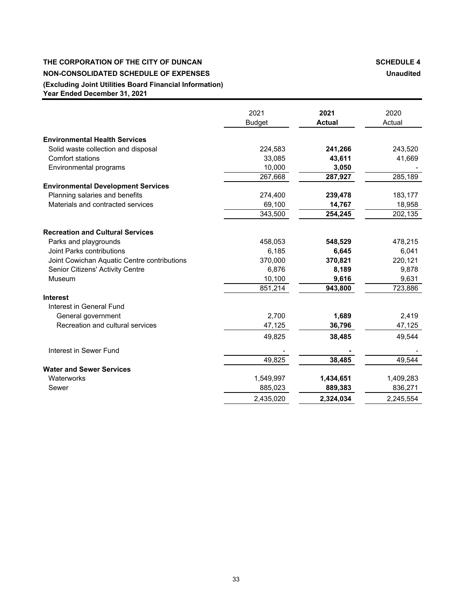|               |               | 2020      |
|---------------|---------------|-----------|
| <b>Budget</b> | <b>Actual</b> | Actual    |
|               |               |           |
| 224,583       | 241,266       | 243,520   |
| 33,085        | 43,611        | 41,669    |
| 10,000        | 3,050         |           |
| 267,668       | 287,927       | 285,189   |
|               |               |           |
| 274,400       | 239,478       | 183,177   |
| 69,100        | 14,767        | 18,958    |
| 343,500       | 254,245       | 202,135   |
|               |               |           |
| 458,053       | 548,529       | 478,215   |
| 6,185         | 6,645         | 6,041     |
| 370,000       | 370,821       | 220,121   |
| 6.876         | 8,189         | 9,878     |
| 10,100        | 9,616         | 9,631     |
| 851,214       | 943,800       | 723,886   |
|               |               |           |
|               |               |           |
| 2,700         | 1,689         | 2,419     |
| 47,125        | 36,796        | 47,125    |
| 49,825        | 38,485        | 49,544    |
|               |               |           |
| 49,825        | 38,485        | 49,544    |
|               |               |           |
| 1,549,997     | 1,434,651     | 1,409,283 |
| 885,023       | 889,383       | 836,271   |
| 2,435,020     | 2,324,034     | 2,245,554 |
|               | 2021          | 2021      |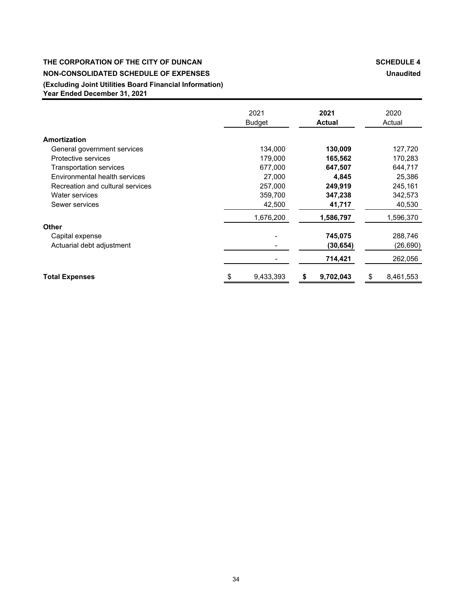|                                  | 2021<br><b>Budget</b> | 2021<br><b>Actual</b> | 2020<br>Actual  |
|----------------------------------|-----------------------|-----------------------|-----------------|
| Amortization                     |                       |                       |                 |
| General government services      | 134,000               | 130,009               | 127,720         |
| Protective services              | 179,000               | 165,562               | 170,283         |
| Transportation services          | 677,000               | 647,507               | 644,717         |
| Environmental health services    | 27,000                | 4,845                 | 25,386          |
| Recreation and cultural services | 257,000               | 249,919               | 245,161         |
| Water services                   | 359,700               | 347,238               | 342,573         |
| Sewer services                   | 42,500                | 41,717                | 40,530          |
|                                  | 1,676,200             | 1,586,797             | 1,596,370       |
| <b>Other</b>                     |                       |                       |                 |
| Capital expense                  |                       | 745,075               | 288,746         |
| Actuarial debt adjustment        |                       | (30, 654)             | (26,690)        |
|                                  |                       | 714,421               | 262,056         |
| <b>Total Expenses</b>            | 9,433,393             | 9,702,043<br>\$       | 8,461,553<br>\$ |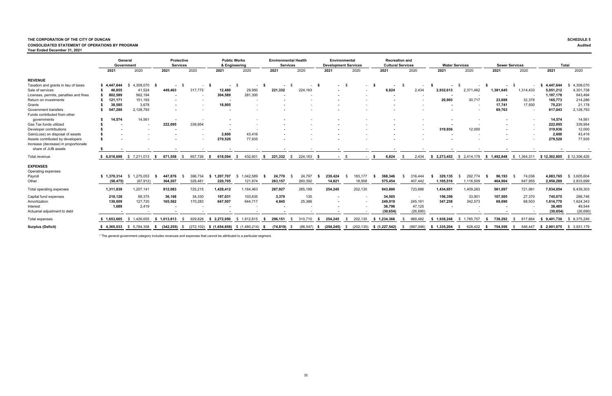#### **THE CORPORATION OF THE CITY OF DUNCAN**

#### **SCHEDULE 5 Audited**

### **CONSOLIDATED STATEMENT OF OPERATIONS BY PROGRAM**

**Year Ended December 31, 2021**

|                                        |                          | General<br>Government     |                          | Protective<br><b>Services</b> |                          | <b>Public Works</b><br>& Engineering                            |                 | <b>Environmental Health</b><br><b>Services</b> |                             | Environmental<br><b>Development Services</b> |                          | <b>Recreation and</b><br><b>Cultural Services</b> |                          | <b>Water Services</b> |                          | <b>Sewer Services</b> |                           | <b>Total</b>           |
|----------------------------------------|--------------------------|---------------------------|--------------------------|-------------------------------|--------------------------|-----------------------------------------------------------------|-----------------|------------------------------------------------|-----------------------------|----------------------------------------------|--------------------------|---------------------------------------------------|--------------------------|-----------------------|--------------------------|-----------------------|---------------------------|------------------------|
|                                        | 2021                     | 2020                      | 2021                     | 2020                          | 2021                     | 2020                                                            | 2021            | 2020                                           | 2021                        | 2020                                         | 2021                     | 2020                                              | 2021                     | 2020                  | 2021                     | 2020                  | 2021                      | 2020                   |
| <b>REVENUE</b>                         |                          |                           |                          |                               |                          |                                                                 |                 |                                                |                             |                                              |                          |                                                   |                          |                       |                          |                       |                           |                        |
| Taxation and grants in lieu of taxes   | \$4.447.644              | 4,309,070<br>- \$         | S<br>$\blacksquare$      | $\sim$                        | $\overline{\phantom{a}}$ |                                                                 |                 |                                                |                             |                                              |                          |                                                   |                          |                       |                          | - \$                  | 4,447,644                 | 4,309,070              |
| Sale of services                       | 46,855                   | 41,524                    | 449.463                  | 317,772                       | 12,480                   | 29,950                                                          | 221,332         | 224,163                                        |                             |                                              | 6,824                    | 2,434                                             | 2,932,613                | 2,371,462             | 1,381,645                | 1,314,433             | 5,051,212                 | 4,301,738              |
| Licenses, permits, penalties and fines | 802,589                  | 562,194                   |                          |                               | 304,589                  | 281,300                                                         |                 |                                                |                             |                                              | $\overline{\phantom{a}}$ | $\overline{\phantom{a}}$                          |                          |                       | $\overline{\phantom{a}}$ |                       | 1,107,178                 | 843,494                |
| Return on investments                  | 121,171                  | 151,193                   |                          |                               |                          |                                                                 |                 |                                                |                             |                                              |                          |                                                   | 20,903                   | 30,717                | 23,699                   | 32,378                | 165,773                   | 214,286                |
| Grants                                 | 38,585                   | 3,678                     |                          |                               | 18,905                   |                                                                 |                 |                                                |                             |                                              |                          |                                                   |                          |                       | 17.741                   | 17,500                | 75,231                    | 21,178                 |
| Government transfers                   | 547,280                  | 2,128,793                 |                          |                               |                          |                                                                 |                 |                                                |                             |                                              |                          |                                                   |                          |                       | 69,763                   |                       | 617,043                   | 2,128,793              |
| Funds contributed from other           |                          |                           |                          |                               |                          |                                                                 |                 |                                                |                             |                                              |                          |                                                   |                          |                       |                          |                       |                           |                        |
| governments                            | 14.574                   | 14,561                    | $\overline{\phantom{0}}$ |                               |                          |                                                                 |                 |                                                |                             |                                              |                          |                                                   |                          |                       |                          |                       | 14,574                    | 14,561                 |
| Gas Tax funds utilized                 | $\overline{\phantom{a}}$ |                           | 222,095                  | 339,954                       |                          |                                                                 |                 |                                                |                             |                                              |                          |                                                   | $\overline{\phantom{a}}$ |                       |                          | $\sim$                | 222,095                   | 339,954                |
| Developer contributions                |                          |                           |                          |                               | $\overline{\phantom{a}}$ | $\sim$                                                          |                 |                                                |                             |                                              |                          | $\overline{\phantom{a}}$                          | 319,936                  | 12,000                |                          |                       | 319,936                   | 12,000                 |
| Gain(Loss) on disposal of assets       |                          |                           |                          |                               | 2,600                    | 43,416                                                          |                 |                                                |                             |                                              |                          |                                                   |                          |                       |                          |                       | 2,600                     | 43,416                 |
| Assets contributed by developers       |                          |                           |                          |                               | 279,520                  | 77,935                                                          |                 |                                                |                             |                                              |                          |                                                   |                          |                       |                          |                       | 279,520                   | 77,935                 |
| Increase (decrease) in proportionate   |                          |                           |                          |                               |                          |                                                                 |                 |                                                |                             |                                              |                          |                                                   |                          |                       |                          |                       |                           |                        |
| share of JUB assets                    |                          |                           |                          |                               |                          |                                                                 |                 |                                                |                             |                                              |                          |                                                   |                          |                       |                          |                       |                           |                        |
| Total revenue                          | \$6,018,698              | \$7,211,013               | 671,558<br>- \$          | 657,726<br>- S                | 618,094<br>- S           | 432,601<br>- \$                                                 | 221,332<br>- \$ | \$224,163                                      | - 56<br>$\sim$              | - \$<br>$\overline{\phantom{a}}$             | 6,824                    | 2,434                                             | \$3,273,452              | \$ 2,414,179          | \$1,492,848              | \$1,364,311           | \$12,302,805              | \$12,306,425           |
|                                        |                          |                           |                          |                               |                          |                                                                 |                 |                                                |                             |                                              |                          |                                                   |                          |                       |                          |                       |                           |                        |
| <b>EXPENSES</b>                        |                          |                           |                          |                               |                          |                                                                 |                 |                                                |                             |                                              |                          |                                                   |                          |                       |                          |                       |                           |                        |
| Operating expenses                     | \$1.370.314              | 1.275.053                 | 447.876                  | 396.734<br>- \$               | 1.207.707                | 1,042,589                                                       | 24.770          | 24.797<br>- \$                                 | 239,424                     |                                              | 368.346                  | 316,444                                           | 329.135                  | 292.774<br>- \$       |                          |                       | 4,083,765                 | \$                     |
| Payroll<br>Other                       |                          | - \$                      | 364,207                  |                               | - 5<br>220,705           | 121,874                                                         | 263,157         |                                                |                             | 183,177                                      |                          | 407,442                                           |                          |                       | 96,193<br>464,904        | 74,036                |                           | 3,605,604<br>2,833,699 |
|                                        | (58, 475)                | (67, 912)                 |                          | 328,481                       |                          |                                                                 |                 | 260,392                                        | 14,821                      | 18,958                                       | 575,454                  |                                                   | 1,105,516                | 1,116,509             |                          | 647,955               | 2,950,289                 |                        |
| Total operating expenses               | 1,311,839                | 1.207.141                 | 812,083                  | 725,215                       | 1,428,412                | 1,164,463                                                       | 287.927         | 285,189                                        | 254,245                     | 202,135                                      | 943,800                  | 723,886                                           | 1,434,651                | 1,409,283             | 561,097                  | 721,991               | 7,034,054                 | 6,439,303              |
| Capital fund expenses                  | 210,128                  | 89,375                    | 36,168                   | 34,330                        | 197,031                  | 103,635                                                         | 3,379           | 135                                            |                             |                                              | 34,505                   | $\overline{\phantom{a}}$                          | 156,359                  | 33,901                | 107,505                  | 27,370                | 745,075                   | 288,746                |
| Amortization                           | 130,009                  | 127,720                   | 165,562                  | 170,283                       | 647,507                  | 644,717                                                         | 4,845           | 25,386                                         |                             |                                              | 249,919                  | 245,161                                           | 347,238                  | 342,573               | 69,690                   | 68,503                | 1,614,770                 | 1,624,343              |
| Interest                               | 1,689                    | 2,419                     |                          |                               |                          |                                                                 |                 |                                                |                             |                                              | 36,796                   | 47,125                                            |                          |                       |                          |                       | 38,485                    | 49,544                 |
| Actuarial adjustment to debt           | $\blacksquare$           |                           |                          |                               |                          |                                                                 |                 |                                                |                             |                                              | (30, 654)                | (26, 690)                                         |                          |                       |                          |                       | (30, 654)                 | (26, 690)              |
| Total expenses                         | \$1,653,665              | \$1,426,655               | \$1,013,813              | 929,828<br>- S                | \$ 2,272,950             | $$1,912,815$ \$                                                 | 296,151         | \$310,710                                      | 254,245<br>- S              | 202,135<br>- \$                              | \$1,234,366              | 989,482<br>- \$                                   | \$1,938,248              | \$1,785,757           | 738,292<br>- SS –        | 817,864<br>- SS       | \$9,401,730               | \$ 8,375,246           |
| <b>Surplus (Deficit)</b>               |                          | $$4,365,033$ $$5,784,358$ |                          |                               |                          | $$$ (342,255) $$$ (272,102) $$$ (1,654,856) $$$ (1,480,214) $$$ | (74,819)        | - \$                                           | $(86, 547)$ \$ $(254, 245)$ | (202, 135)<br>- SI                           | \$(1,227,542)            | (987, 048)<br>- SS                                | \$1,335,204              | 628,422<br>- SS       | 754,556<br>- \$          | 546,447<br>- SI       | $$2,901,075$ $$3,931,179$ |                        |
|                                        |                          |                           |                          |                               |                          |                                                                 |                 |                                                |                             |                                              |                          |                                                   |                          |                       |                          |                       |                           |                        |

\* The general government category includes revenues and expenses that cannot be attributed to a particular segment.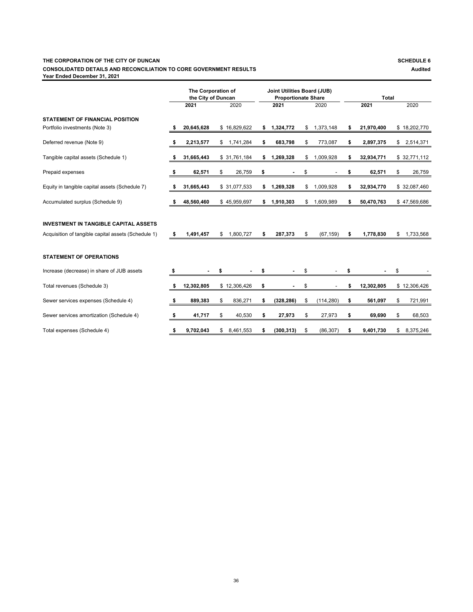#### **THE CORPORATION OF THE CITY OF DUNCAN SCHEDULE 6**

#### **CONSOLIDATED DETAILS AND RECONCILIATION TO CORE GOVERNMENT RESULTS Audited**

**Year Ended December 31, 2021**

|                                                                                                     |    | The Corporation of<br>the City of Duncan |    |               | Joint Utilities Board (JUB)<br><b>Proportionate Share</b> |             |    |            |    | <b>Total</b> |    |              |
|-----------------------------------------------------------------------------------------------------|----|------------------------------------------|----|---------------|-----------------------------------------------------------|-------------|----|------------|----|--------------|----|--------------|
|                                                                                                     |    | 2021                                     |    | 2020          |                                                           | 2021        |    | 2020       |    | 2021         |    | 2020         |
| <b>STATEMENT OF FINANCIAL POSITION</b><br>Portfolio investments (Note 3)                            |    | 20,645,628                               |    | \$16,829,622  | \$                                                        | 1,324,772   | \$ | 1,373,148  |    | 21,970,400   |    | \$18,202,770 |
| Deferred revenue (Note 9)                                                                           | S  | 2,213,577                                | \$ | 1,741,284     | \$                                                        | 683,798     | \$ | 773,087    | \$ | 2,897,375    | \$ | 2,514,371    |
| Tangible capital assets (Schedule 1)                                                                | s  | 31,665,443                               |    | \$ 31,761,184 | \$                                                        | 1,269,328   | \$ | 1,009,928  | \$ | 32,934,771   |    | \$32,771,112 |
| Prepaid expenses                                                                                    | S  | 62,571                                   | \$ | 26,759        | \$                                                        |             | \$ |            | \$ | 62,571       | \$ | 26,759       |
| Equity in tangible capital assets (Schedule 7)                                                      |    | 31,665,443                               |    | \$31,077,533  | \$                                                        | 1,269,328   | \$ | 1,009,928  | \$ | 32,934,770   |    | \$32,087,460 |
| Accumulated surplus (Schedule 9)                                                                    | S  | 48,560,460                               |    | \$45,959,697  |                                                           | \$1,910,303 | \$ | 1,609,989  | \$ | 50,470,763   |    | \$47,569,686 |
| <b>INVESTMENT IN TANGIBLE CAPITAL ASSETS</b><br>Acquisition of tangible capital assets (Schedule 1) | \$ | 1,491,457                                | \$ | 1,800,727     | \$                                                        | 287,373     | \$ | (67, 159)  | \$ | 1,778,830    | \$ | 1,733,568    |
| <b>STATEMENT OF OPERATIONS</b>                                                                      |    |                                          |    |               |                                                           |             |    |            |    |              |    |              |
| Increase (decrease) in share of JUB assets                                                          | \$ |                                          | \$ |               | \$                                                        |             | \$ |            | \$ |              | \$ |              |
| Total revenues (Schedule 3)                                                                         | \$ | 12,302,805                               |    | \$12,306,426  | \$                                                        |             | \$ |            | \$ | 12,302,805   |    | \$12,306,426 |
| Sewer services expenses (Schedule 4)                                                                |    | 889,383                                  | \$ | 836,271       | \$                                                        | (328, 286)  | \$ | (114, 280) | \$ | 561,097      | \$ | 721,991      |
| Sewer services amortization (Schedule 4)                                                            |    | 41,717                                   | \$ | 40,530        | \$                                                        | 27,973      | \$ | 27,973     | \$ | 69,690       | \$ | 68,503       |
| Total expenses (Schedule 4)                                                                         | \$ | 9,702,043                                | \$ | 8,461,553     | \$                                                        | (300, 313)  | \$ | (86, 307)  | \$ | 9,401,730    | \$ | 8.375.246    |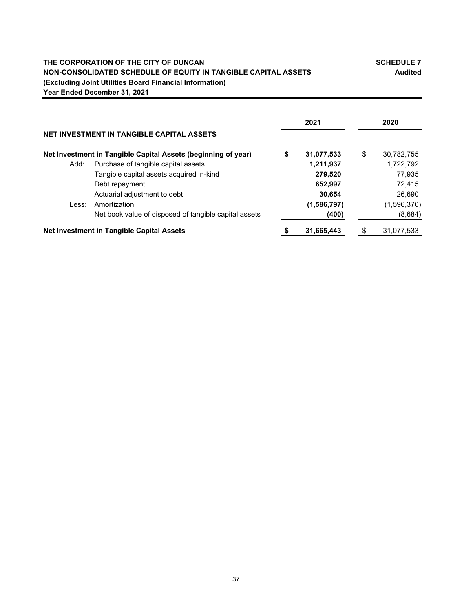### THE CORPORATION OF THE CITY OF DUNCAN **SCHEDULE 7 NON-CONSOLIDATED SCHEDULE OF EQUITY IN TANGIBLE CAPITAL ASSETS Audited (Excluding Joint Utilities Board Financial Information) Year Ended December 31, 2021**

|       |                                                               | 2021             | 2020             |
|-------|---------------------------------------------------------------|------------------|------------------|
|       | NET INVESTMENT IN TANGIBLE CAPITAL ASSETS                     |                  |                  |
|       | Net Investment in Tangible Capital Assets (beginning of year) | \$<br>31,077,533 | \$<br>30,782,755 |
| Add:  | Purchase of tangible capital assets                           | 1,211,937        | 1,722,792        |
|       | Tangible capital assets acquired in-kind                      | 279,520          | 77,935           |
|       | Debt repayment                                                | 652,997          | 72,415           |
|       | Actuarial adjustment to debt                                  | 30,654           | 26.690           |
| Less: | Amortization                                                  | (1,586,797)      | (1,596,370)      |
|       | Net book value of disposed of tangible capital assets         | (400)            | (8,684)          |
|       | Net Investment in Tangible Capital Assets                     | 31,665,443       | 31,077,533       |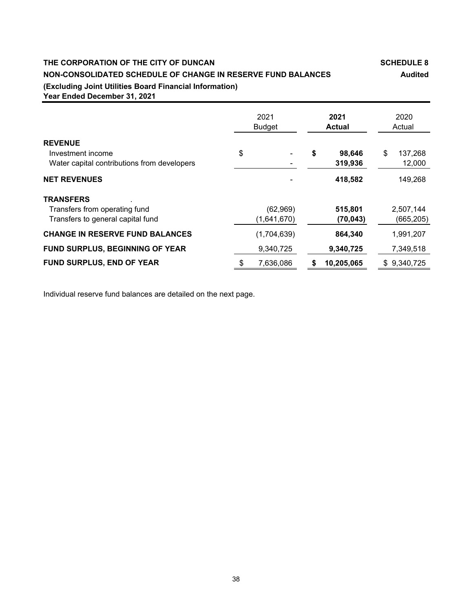## THE CORPORATION OF THE CITY OF DUNCAN **SCHEDULE 8 NON-CONSOLIDATED SCHEDULE OF CHANGE IN RESERVE FUND BALANCES Audited (Excluding Joint Utiliti**

| ies Board Financial Information) |  |
|----------------------------------|--|
|----------------------------------|--|

|                                                                                        | 2021<br><b>Budget</b> |                         | 2021<br><b>Actual</b>   | 2020<br>Actual |                         |
|----------------------------------------------------------------------------------------|-----------------------|-------------------------|-------------------------|----------------|-------------------------|
| <b>REVENUE</b><br>Investment income<br>Water capital contributions from developers     | \$                    |                         | \$<br>98,646<br>319,936 | \$             | 137,268<br>12,000       |
| <b>NET REVENUES</b>                                                                    |                       |                         | 418,582                 |                | 149,268                 |
| <b>TRANSFERS</b><br>Transfers from operating fund<br>Transfers to general capital fund |                       | (62,969)<br>(1,641,670) | 515,801<br>(70, 043)    |                | 2,507,144<br>(665, 205) |
| <b>CHANGE IN RESERVE FUND BALANCES</b>                                                 |                       | (1,704,639)             | 864,340                 |                | 1,991,207               |
| <b>FUND SURPLUS, BEGINNING OF YEAR</b>                                                 |                       | 9,340,725               | 9,340,725               |                | 7,349,518               |
| <b>FUND SURPLUS, END OF YEAR</b>                                                       | \$                    | 7,636,086               | \$<br>10,205,065        |                | \$9,340,725             |

Individual reserve fund balances are detailed on the next page.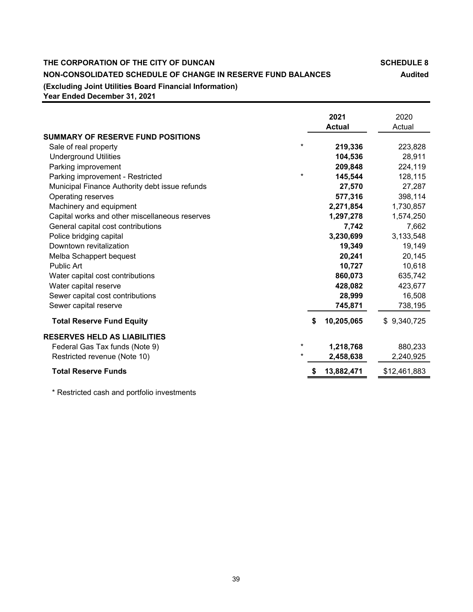## THE CORPORATION OF THE CITY OF DUNCAN **SCHEDULE 8 NON-CONSOLIDATED SCHEDULE OF CHANGE IN RESERVE FUND BALANCES Audited (Excluding Joint Utilities Board Financial Information)**

**Year Ended December 31, 2021**

|                                                |         | 2021          | 2020         |
|------------------------------------------------|---------|---------------|--------------|
| <b>SUMMARY OF RESERVE FUND POSITIONS</b>       |         | <b>Actual</b> | Actual       |
|                                                |         | 219,336       | 223,828      |
| Sale of real property                          |         |               |              |
| <b>Underground Utilities</b>                   |         | 104,536       | 28,911       |
| Parking improvement                            |         | 209,848       | 224,119      |
| Parking improvement - Restricted               | $\star$ | 145,544       | 128,115      |
| Municipal Finance Authority debt issue refunds |         | 27,570        | 27,287       |
| Operating reserves                             |         | 577,316       | 398,114      |
| Machinery and equipment                        |         | 2,271,854     | 1,730,857    |
| Capital works and other miscellaneous reserves |         | 1,297,278     | 1,574,250    |
| General capital cost contributions             |         | 7,742         | 7,662        |
| Police bridging capital                        |         | 3,230,699     | 3,133,548    |
| Downtown revitalization                        |         | 19,349        | 19,149       |
| Melba Schappert bequest                        |         | 20,241        | 20,145       |
| <b>Public Art</b>                              |         | 10,727        | 10,618       |
| Water capital cost contributions               |         | 860,073       | 635,742      |
| Water capital reserve                          |         | 428,082       | 423,677      |
| Sewer capital cost contributions               |         | 28,999        | 16,508       |
| Sewer capital reserve                          |         | 745,871       | 738,195      |
| <b>Total Reserve Fund Equity</b>               | S       | 10,205,065    | \$9,340,725  |
| <b>RESERVES HELD AS LIABILITIES</b>            |         |               |              |
| Federal Gas Tax funds (Note 9)                 | $\star$ | 1,218,768     | 880,233      |
| Restricted revenue (Note 10)                   | *       | 2,458,638     | 2,240,925    |
| <b>Total Reserve Funds</b>                     |         | 13,882,471    | \$12,461,883 |

\* Restricted cash and portfolio investments

39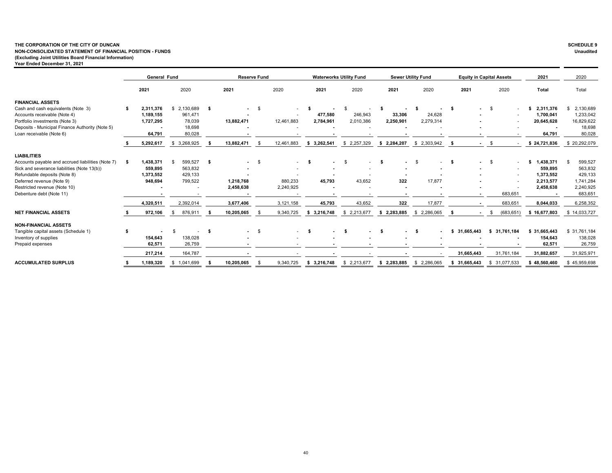#### **NON-CONSOLIDATED STATEMENT OF FINANCIAL POSITION - FUNDS Unaudited (Excluding Joint Utilities Board Financial Information) THE CORPORATION OF THE CITY OF DUNCAN**

|                                                   | <b>General Fund</b> |           | <b>Reserve Fund</b> |      | <b>Waterworks Utility Fund</b> |     | <b>Sewer Utility Fund</b> |                |                 | <b>Equity in Capital Assets</b> | 2021               | 2020          |                    |              |              |
|---------------------------------------------------|---------------------|-----------|---------------------|------|--------------------------------|-----|---------------------------|----------------|-----------------|---------------------------------|--------------------|---------------|--------------------|--------------|--------------|
|                                                   |                     | 2021      | 2020                |      | 2021                           |     | 2020                      | 2021           | 2020            | 2021                            | 2020               | 2021          | 2020               | <b>Total</b> | Total        |
| <b>FINANCIAL ASSETS</b>                           |                     |           |                     |      |                                |     |                           |                |                 |                                 |                    |               |                    |              |              |
| Cash and cash equivalents (Note 3)                |                     | 2,311,376 | 2.130.689           | - \$ |                                |     |                           |                |                 |                                 |                    |               | $-5$<br>$\sim$     | 2,311,376    | 2,130,689    |
| Accounts receivable (Note 4)                      |                     | 1,189,155 | 961,471             |      |                                |     |                           | 477,580        | 246,943         | 33,306                          | 24,628             |               |                    | 1,700,041    | 1,233,042    |
| Portfolio investments (Note 3)                    |                     | 1,727,295 | 78,039              |      | 13,882,471                     |     | 12,461,883                | 2,784,961      | 2,010,386       | 2,250,901                       | 2,279,314          |               | ٠                  | 20,645,628   | 16,829,622   |
| Deposits - Municipal Finance Authority (Note 5)   |                     |           | 18,698              |      |                                |     |                           |                |                 |                                 |                    |               |                    |              | 18,698       |
| Loan receivable (Note 6)                          |                     | 64,791    | 80,028              |      |                                |     |                           |                |                 |                                 |                    |               |                    | 64,791       | 80,028       |
|                                                   |                     | 5,292,617 | 3,268,925           |      | 13,882,471                     |     | 12,461,883                | \$3,262,541    | \$2,257,329     | \$2,284,207                     | \$ 2,303,942       | - 5<br>$\sim$ | - \$               | \$24,721,836 | \$20,292,079 |
| <b>LIABILITIES</b>                                |                     |           |                     |      |                                |     |                           |                |                 |                                 |                    |               |                    |              |              |
| Accounts payable and accrued liabilities (Note 7) | - \$                | 1,438,371 | 599,527             | -S   | $\sim$                         | -96 |                           | - \$<br>$\sim$ | -S<br>$\sim$    | - \$<br>$\sim$                  | - \$<br>$\sim 100$ | - \$          | $-$ \$<br>$\sim$   | 1,438,371    | 599,527      |
| Sick and severance liabilities (Note 13(b))       |                     | 559.895   | 563,832             |      |                                |     |                           |                |                 |                                 |                    |               | $\sim$             | 559,895      | 563,832      |
| Refundable deposits (Note 8)                      |                     | 1,373,552 | 429,133             |      |                                |     |                           |                |                 |                                 |                    |               |                    | 1,373,552    | 429,133      |
| Deferred revenue (Note 9)                         |                     | 948.694   | 799,522             |      | 1,218,768                      |     | 880,233                   | 45.793         | 43.652          | 322                             | 17,877             |               | $\sim$             | 2,213,577    | 1,741,284    |
| Restricted revenue (Note 10)                      |                     |           |                     |      | 2,458,638                      |     | 2,240,925                 |                |                 |                                 |                    |               |                    | 2,458,638    | 2,240,925    |
| Debenture debt (Note 11)                          |                     |           |                     |      |                                |     |                           |                |                 |                                 |                    |               | 683,651            |              | 683,651      |
|                                                   |                     | 4,320,511 | 2,392,014           |      | 3,677,406                      |     | 3,121,158                 | 45,793         | 43,652          | 322                             | 17,877             |               | 683,651            | 8,044,033    | 6,258,352    |
| <b>NET FINANCIAL ASSETS</b>                       |                     | 972,106   | 876,911             | - \$ | 10,205,065                     | -SS | 9,340,725                 | 3,216,748<br>S | 2,213,677<br>s. | 2,283,885                       | 2,286,065<br>- \$  | -S            | (683, 651)<br>\$   | \$16,677,803 | \$14,033,727 |
| <b>NON-FINANCIAL ASSETS</b>                       |                     |           |                     |      |                                |     |                           |                |                 |                                 |                    |               |                    |              |              |
| Tangible capital assets (Schedule 1)              | S.                  |           | -S<br>$\sim$        | -\$  | $\sim$                         | -S  |                           | - \$           | S<br>$\sim$     | - \$<br>$\sim$                  | - \$<br>$\sim$     | 31.665.443    | 31,761,184<br>S.   | \$31,665,443 | \$31,761,184 |
| Inventory of supplies                             |                     | 154,643   | 138,028             |      |                                |     |                           |                |                 |                                 |                    |               |                    | 154,643      | 138,028      |
| Prepaid expenses                                  |                     | 62,571    | 26,759              |      |                                |     |                           |                |                 |                                 |                    |               |                    | 62,571       | 26,759       |
|                                                   |                     | 217,214   | 164,787             |      |                                |     |                           |                |                 |                                 |                    | 31,665,443    | 31,761,184         | 31,882,657   | 31,925,971   |
| <b>ACCUMULATED SURPLUS</b>                        |                     | 1.189.320 | 1.041.699           |      | 10.205.065                     |     | 9,340,725                 | 3,216,748<br>S | 2.213.677<br>\$ | 2.283.885<br>£.                 | 2.286.065<br>S.    | 31.665.443    | 31,077,533<br>- \$ | 48,560,460   | \$45.959.698 |

**SCHEDULE 9Unaudited** 

**Year Ended December 31, 2021**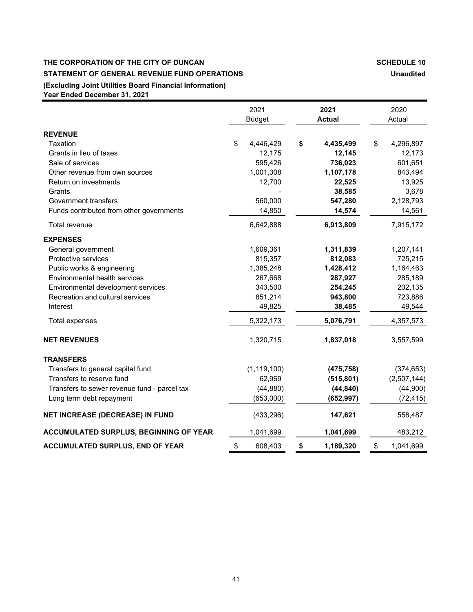# THE CORPORATION OF THE CITY OF DUNCAN **SCHEDULE 10**

# **STATEMENT OF GENERAL REVENUE FUND OPERATIONS Unaudited**

**(Excluding Joint Utilities Board Financial Information) Year Ended December 31, 2021**

|                                              | 2021<br><b>Budget</b> | 2021<br><b>Actual</b> | 2020<br>Actual  |
|----------------------------------------------|-----------------------|-----------------------|-----------------|
| <b>REVENUE</b>                               |                       |                       |                 |
| Taxation                                     | \$<br>4,446,429       | \$<br>4,435,499       | \$<br>4,296,897 |
| Grants in lieu of taxes                      | 12,175                | 12,145                | 12,173          |
| Sale of services                             | 595,426               | 736,023               | 601,651         |
| Other revenue from own sources               | 1,001,308             | 1,107,178             | 843,494         |
| Return on investments                        | 12,700                | 22,525                | 13,925          |
| Grants                                       |                       | 38,585                | 3,678           |
| Government transfers                         | 560,000               | 547,280               | 2,128,793       |
| Funds contributed from other governments     | 14,850                | 14,574                | 14,561          |
| <b>Total revenue</b>                         | 6,642,888             | 6,913,809             | 7,915,172       |
| <b>EXPENSES</b>                              |                       |                       |                 |
| General government                           | 1,609,361             | 1,311,839             | 1,207,141       |
| Protective services                          | 815,357               | 812,083               | 725,215         |
| Public works & engineering                   | 1,385,248             | 1,428,412             | 1,164,463       |
| Environmental health services                | 267,668               | 287,927               | 285,189         |
| Environmental development services           | 343,500               | 254,245               | 202,135         |
| Recreation and cultural services             | 851,214               | 943,800               | 723,886         |
| Interest                                     | 49,825                | 38,485                | 49,544          |
| <b>Total expenses</b>                        | 5,322,173             | 5,076,791             | 4,357,573       |
| <b>NET REVENUES</b>                          | 1,320,715             | 1,837,018             | 3,557,599       |
| <b>TRANSFERS</b>                             |                       |                       |                 |
| Transfers to general capital fund            | (1, 119, 100)         | (475, 758)            | (374, 653)      |
| Transfers to reserve fund                    | 62,969                | (515, 801)            | (2,507,144)     |
| Transfers to sewer revenue fund - parcel tax | (44, 880)             | (44, 840)             | (44,900)        |
| Long term debt repayment                     | (653,000)             | (652, 997)            | (72, 415)       |
| NET INCREASE (DECREASE) IN FUND              | (433, 296)            | 147,621               | 558,487         |
| ACCUMULATED SURPLUS, BEGINNING OF YEAR       | 1,041,699             | 1,041,699             | 483,212         |
| <b>ACCUMULATED SURPLUS, END OF YEAR</b>      | \$<br>608,403         | \$<br>1,189,320       | \$<br>1,041,699 |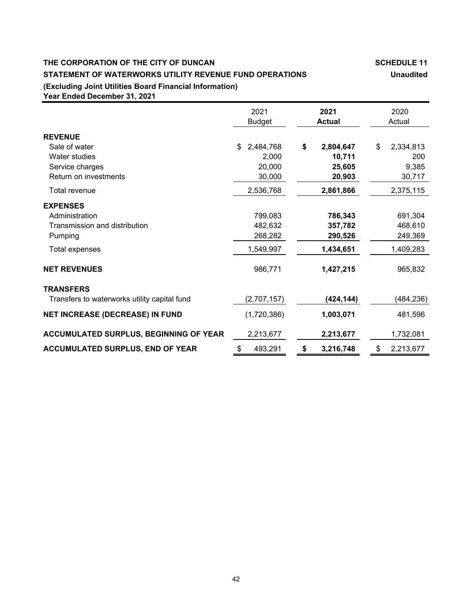### THE CORPORATION OF THE CITY OF DUNCAN SCHEDULE 11 STATEMENT OF WATERWORKS UTILITY REVENUE FUND OPERATIONS **Unaudited**

# **(Excluding Joint Utilities Board Financial Information)**

**Year Ended December 31, 2021**

|                                               | 2021<br><b>Budget</b> | 2021<br><b>Actual</b> | 2020<br>Actual  |  |  |
|-----------------------------------------------|-----------------------|-----------------------|-----------------|--|--|
| <b>REVENUE</b>                                |                       |                       |                 |  |  |
| Sale of water                                 | 2,484,768<br>\$       | \$<br>2,804,647       | \$<br>2,334,813 |  |  |
| Water studies                                 | 2,000                 | 10,711                | 200             |  |  |
| Service charges                               | 20,000                | 25,605                | 9,385           |  |  |
| Return on investments                         | 30,000                | 20,903                | 30,717          |  |  |
| Total revenue                                 | 2,536,768             | 2,861,866             | 2,375,115       |  |  |
| <b>EXPENSES</b>                               |                       |                       |                 |  |  |
| Administration                                | 799,083               | 786,343               | 691,304         |  |  |
| Transmission and distribution                 | 482,632               | 357,782               | 468,610         |  |  |
| Pumping                                       | 268,282               | 290,526               | 249,369         |  |  |
| Total expenses                                | 1,549,997             | 1,434,651             | 1,409,283       |  |  |
| <b>NET REVENUES</b>                           | 986,771               | 1,427,215             | 965,832         |  |  |
| <b>TRANSFERS</b>                              |                       |                       |                 |  |  |
| Transfers to waterworks utility capital fund  | (2,707,157)           | (424, 144)            | (484, 236)      |  |  |
| <b>NET INCREASE (DECREASE) IN FUND</b>        | (1,720,386)           | 1,003,071             | 481,596         |  |  |
| <b>ACCUMULATED SURPLUS, BEGINNING OF YEAR</b> | 2,213,677             | 2,213,677             | 1,732,081       |  |  |
| <b>ACCUMULATED SURPLUS, END OF YEAR</b>       | 493,291<br>\$         | 3,216,748<br>\$       | 2,213,677<br>\$ |  |  |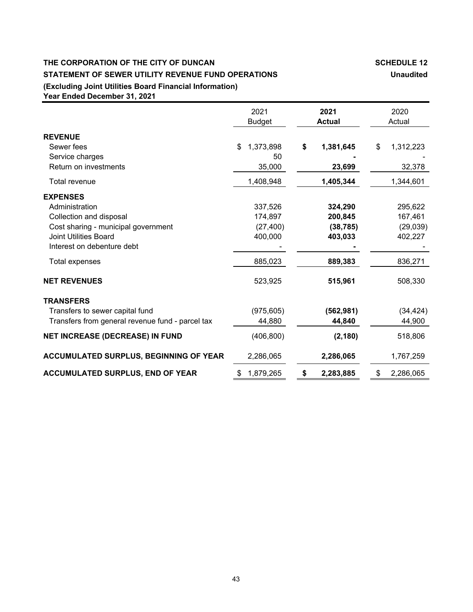## THE CORPORATION OF THE CITY OF DUNCAN SCHEDULE 12 **STATEMENT OF SEWER UTILITY REVENUE FUND OPERATIONS Unaudited (Excluding Joint Utilities Board Financial Information)**

| <b>ILACIUDING JOINT OUTSE</b> DOATU FINANCIAI IN |
|--------------------------------------------------|
| Year Ended December 31, 2021                     |

|                                                  | 2021<br><b>Budget</b> | 2021<br><b>Actual</b> | 2020<br>Actual  |  |  |
|--------------------------------------------------|-----------------------|-----------------------|-----------------|--|--|
| <b>REVENUE</b>                                   |                       |                       |                 |  |  |
| Sewer fees                                       | \$<br>1,373,898       | \$<br>1,381,645       | \$<br>1,312,223 |  |  |
| Service charges                                  | 50                    |                       |                 |  |  |
| Return on investments                            | 35,000                | 23,699                | 32,378          |  |  |
| Total revenue                                    | 1,408,948             | 1,405,344             | 1,344,601       |  |  |
| <b>EXPENSES</b>                                  |                       |                       |                 |  |  |
| Administration                                   | 337,526               | 324,290               | 295,622         |  |  |
| Collection and disposal                          | 174,897               | 200,845               | 167,461         |  |  |
| Cost sharing - municipal government              | (27, 400)             | (38, 785)             | (29,039)        |  |  |
| <b>Joint Utilities Board</b>                     | 400,000               | 403,033               | 402,227         |  |  |
| Interest on debenture debt                       |                       |                       |                 |  |  |
| Total expenses                                   | 885,023               | 889,383               | 836,271         |  |  |
| <b>NET REVENUES</b>                              | 523,925               | 515,961               | 508,330         |  |  |
| <b>TRANSFERS</b>                                 |                       |                       |                 |  |  |
| Transfers to sewer capital fund                  | (975, 605)            | (562, 981)            | (34, 424)       |  |  |
| Transfers from general revenue fund - parcel tax | 44,880                | 44,840                | 44,900          |  |  |
| NET INCREASE (DECREASE) IN FUND                  | (406, 800)            | (2, 180)              | 518,806         |  |  |
| <b>ACCUMULATED SURPLUS, BEGINNING OF YEAR</b>    | 2,286,065             | 2,286,065             | 1,767,259       |  |  |
| <b>ACCUMULATED SURPLUS, END OF YEAR</b>          | 1,879,265<br>\$       | \$<br>2,283,885       | \$<br>2,286,065 |  |  |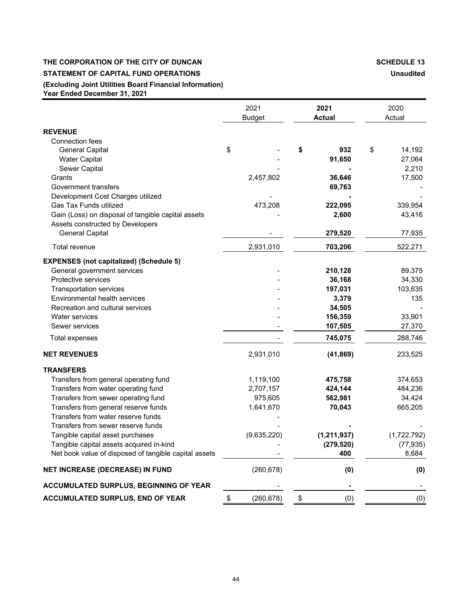### THE CORPORATION OF THE CITY OF DUNCAN **SCHEDULE 13 STATEMENT OF CAPITAL FUND OPERATIONS Unaudited (Excluding Joint Utilities Board Financial Information) Year Ended December 31, 2021**

|                                                       | 2021<br><b>Budget</b> | 2021<br><b>Actual</b> | 2020<br>Actual |             |
|-------------------------------------------------------|-----------------------|-----------------------|----------------|-------------|
| <b>REVENUE</b>                                        |                       |                       |                |             |
| <b>Connection fees</b>                                |                       |                       |                |             |
| <b>General Capital</b>                                | \$                    | \$<br>932             | \$             | 14,192      |
| <b>Water Capital</b>                                  |                       | 91,650                |                | 27,064      |
| Sewer Capital                                         |                       |                       |                | 2,210       |
| Grants                                                | 2,457,802             | 36,646                |                | 17,500      |
| Government transfers                                  |                       | 69,763                |                |             |
| Development Cost Charges utilized                     |                       |                       |                |             |
| <b>Gas Tax Funds utilized</b>                         | 473,208               | 222,095               |                | 339,954     |
| Gain (Loss) on disposal of tangible capital assets    |                       | 2,600                 |                | 43,416      |
| Assets constructed by Developers                      |                       |                       |                |             |
| <b>General Capital</b>                                |                       | 279,520               |                | 77,935      |
| Total revenue                                         | 2,931,010             | 703,206               |                | 522,271     |
| <b>EXPENSES (not capitalized) (Schedule 5)</b>        |                       |                       |                |             |
| General government services                           |                       | 210,128               |                | 89,375      |
| Protective services                                   |                       | 36,168                |                | 34,330      |
| <b>Transportation services</b>                        |                       | 197,031               |                | 103,635     |
| Environmental health services                         |                       | 3,379                 |                | 135         |
| Recreation and cultural services                      |                       | 34,505                |                |             |
| <b>Water services</b>                                 |                       | 156,359               |                | 33,901      |
| Sewer services                                        |                       | 107,505               |                | 27,370      |
| Total expenses                                        |                       | 745,075               |                | 288,746     |
| <b>NET REVENUES</b>                                   | 2,931,010             | (41, 869)             |                | 233,525     |
| <b>TRANSFERS</b>                                      |                       |                       |                |             |
| Transfers from general operating fund                 | 1,119,100             | 475,758               |                | 374,653     |
| Transfers from water operating fund                   | 2,707,157             | 424,144               |                | 484,236     |
| Transfers from sewer operating fund                   | 975,605               | 562,981               |                | 34,424      |
| Transfers from general reserve funds                  | 1,641,670             | 70,043                |                | 665,205     |
| Transfers from water reserve funds                    |                       |                       |                |             |
| Transfers from sewer reserve funds                    |                       |                       |                |             |
| Tangible capital asset purchases                      | (9,635,220)           | (1, 211, 937)         |                | (1,722,792) |
| Tangible capital assets acquired in-kind              |                       | (279, 520)            |                | (77, 935)   |
| Net book value of disposed of tangible capital assets |                       | 400                   |                | 8,684       |
| NET INCREASE (DECREASE) IN FUND                       | (260, 678)            | (0)                   |                | (0)         |
| ACCUMULATED SURPLUS, BEGINNING OF YEAR                |                       |                       |                |             |
| <b>ACCUMULATED SURPLUS, END OF YEAR</b>               | \$<br>(260, 678)      | \$<br>(0)             |                | (0)         |